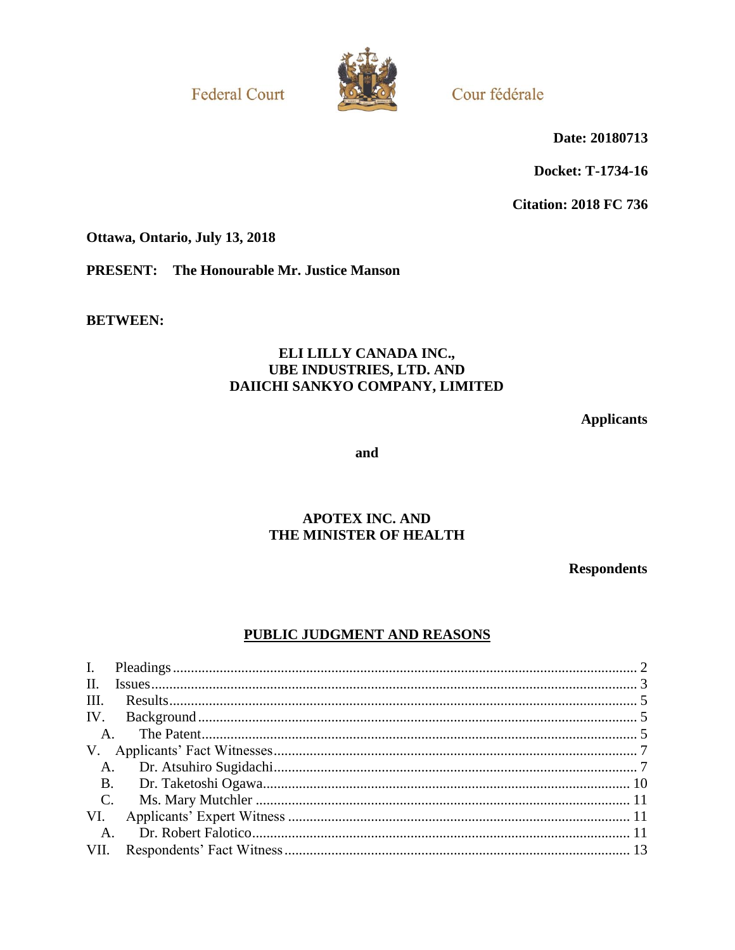**Federal Court** 



Cour fédérale

Date: 20180713

Docket: T-1734-16

**Citation: 2018 FC 736** 

Ottawa, Ontario, July 13, 2018

**PRESENT:** The Honourable Mr. Justice Manson

**BETWEEN:** 

# ELI LILLY CANADA INC., **UBE INDUSTRIES, LTD. AND** DAIICHI SANKYO COMPANY, LIMITED

**Applicants** 

and

# **APOTEX INC. AND** THE MINISTER OF HEALTH

**Respondents** 

# PUBLIC JUDGMENT AND REASONS

| $\mathbf{H}$ . |
|----------------|
| III.           |
|                |
| A.             |
|                |
| A.             |
| <b>B.</b>      |
| $C$ .          |
| VI.            |
| $A_{\cdot}$    |
| VII.           |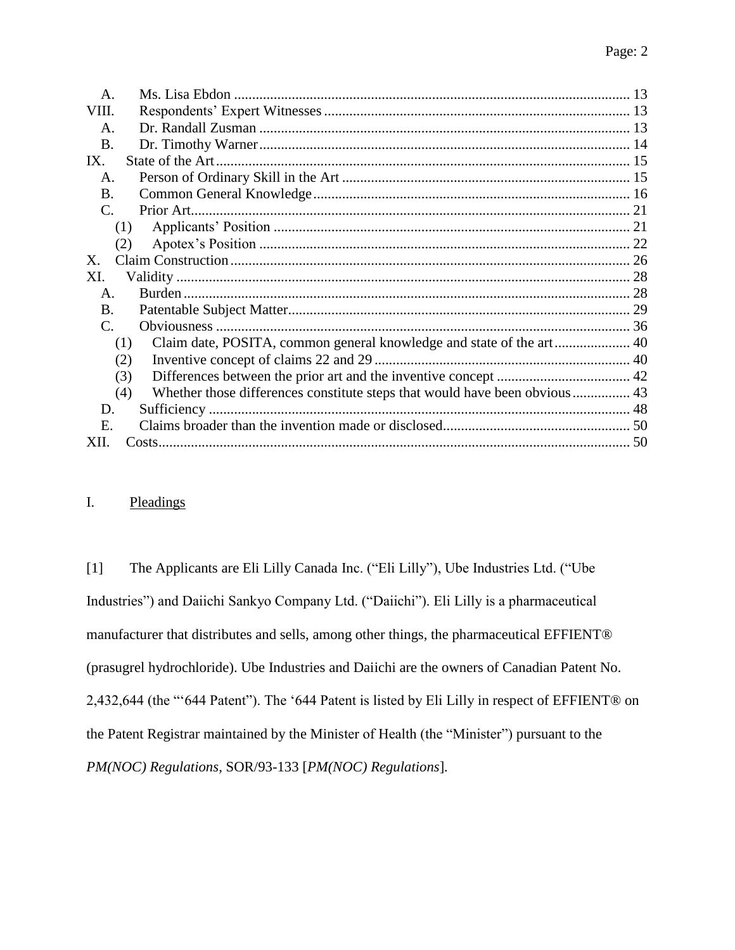| A.              |                                                                            |  |
|-----------------|----------------------------------------------------------------------------|--|
| VIII.           |                                                                            |  |
| A.              |                                                                            |  |
| <b>B.</b>       |                                                                            |  |
| IX.             |                                                                            |  |
| A.              |                                                                            |  |
| <b>B.</b>       |                                                                            |  |
| $\mathcal{C}$ . |                                                                            |  |
| (1)             |                                                                            |  |
| (2)             |                                                                            |  |
| Х.              |                                                                            |  |
| XI.             |                                                                            |  |
| A.              |                                                                            |  |
| <b>B.</b>       |                                                                            |  |
| $\mathbf{C}$ .  |                                                                            |  |
| (1)             | Claim date, POSITA, common general knowledge and state of the art 40       |  |
| (2)             |                                                                            |  |
| (3)             |                                                                            |  |
| (4)             | Whether those differences constitute steps that would have been obvious 43 |  |
| D.              |                                                                            |  |
| Е.              |                                                                            |  |
| XII.            |                                                                            |  |
|                 |                                                                            |  |

# <span id="page-1-0"></span>I. Pleadings

[1] The Applicants are Eli Lilly Canada Inc. ("Eli Lilly"), Ube Industries Ltd. ("Ube Industries") and Daiichi Sankyo Company Ltd. ("Daiichi"). Eli Lilly is a pharmaceutical manufacturer that distributes and sells, among other things, the pharmaceutical EFFIENT® (prasugrel hydrochloride). Ube Industries and Daiichi are the owners of Canadian Patent No. 2,432,644 (the "'644 Patent"). The '644 Patent is listed by Eli Lilly in respect of EFFIENT® on the Patent Registrar maintained by the Minister of Health (the "Minister") pursuant to the *PM(NOC) Regulations,* SOR/93-133 [*PM(NOC) Regulations*]*.*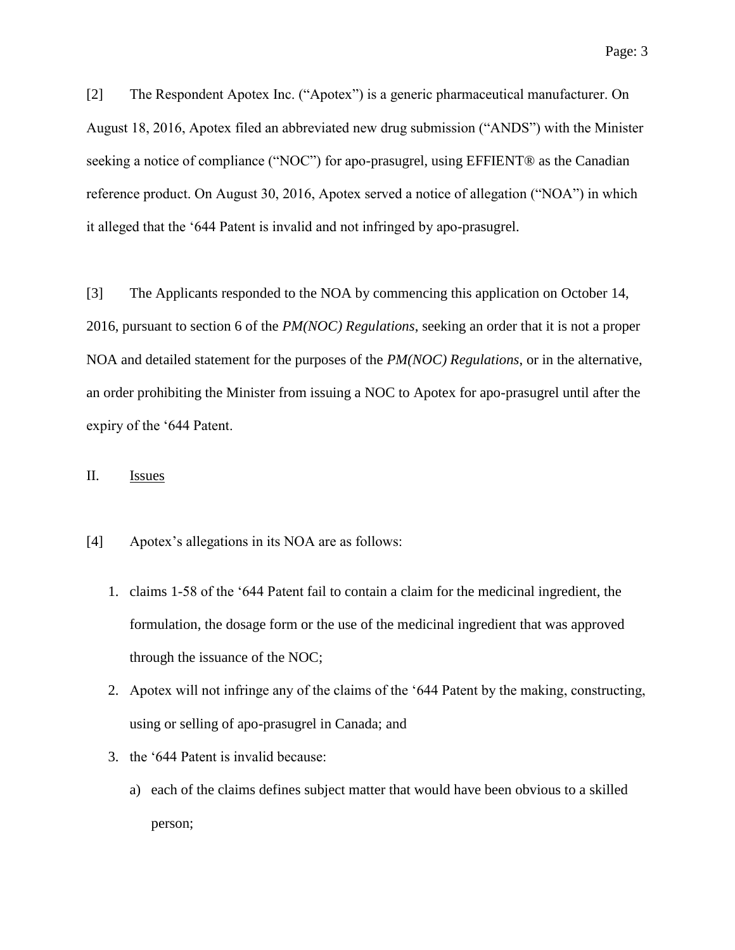[2] The Respondent Apotex Inc. ("Apotex") is a generic pharmaceutical manufacturer. On August 18, 2016, Apotex filed an abbreviated new drug submission ("ANDS") with the Minister seeking a notice of compliance ("NOC") for apo-prasugrel, using EFFIENT® as the Canadian reference product. On August 30, 2016, Apotex served a notice of allegation ("NOA") in which it alleged that the '644 Patent is invalid and not infringed by apo-prasugrel.

[3] The Applicants responded to the NOA by commencing this application on October 14, 2016, pursuant to section 6 of the *PM(NOC) Regulations*, seeking an order that it is not a proper NOA and detailed statement for the purposes of the *PM(NOC) Regulations*, or in the alternative, an order prohibiting the Minister from issuing a NOC to Apotex for apo-prasugrel until after the expiry of the '644 Patent.

# <span id="page-2-0"></span>II. Issues

- [4] Apotex's allegations in its NOA are as follows:
	- 1. claims 1-58 of the '644 Patent fail to contain a claim for the medicinal ingredient, the formulation, the dosage form or the use of the medicinal ingredient that was approved through the issuance of the NOC;
	- 2. Apotex will not infringe any of the claims of the '644 Patent by the making, constructing, using or selling of apo-prasugrel in Canada; and
	- 3. the '644 Patent is invalid because:
		- a) each of the claims defines subject matter that would have been obvious to a skilled person;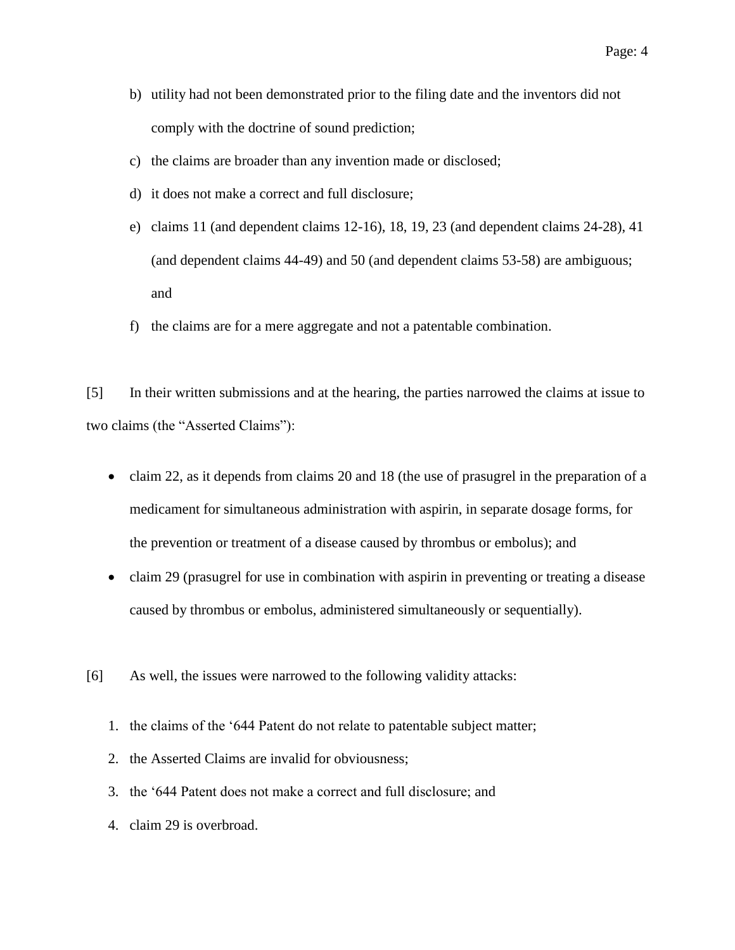- b) utility had not been demonstrated prior to the filing date and the inventors did not comply with the doctrine of sound prediction;
- c) the claims are broader than any invention made or disclosed;
- d) it does not make a correct and full disclosure;
- e) claims 11 (and dependent claims 12-16), 18, 19, 23 (and dependent claims 24-28), 41 (and dependent claims 44-49) and 50 (and dependent claims 53-58) are ambiguous; and
- f) the claims are for a mere aggregate and not a patentable combination.

[5] In their written submissions and at the hearing, the parties narrowed the claims at issue to two claims (the "Asserted Claims"):

- claim 22, as it depends from claims 20 and 18 (the use of prasugrel in the preparation of a medicament for simultaneous administration with aspirin, in separate dosage forms, for the prevention or treatment of a disease caused by thrombus or embolus); and
- claim 29 (prasugrel for use in combination with aspirin in preventing or treating a disease caused by thrombus or embolus, administered simultaneously or sequentially).
- [6] As well, the issues were narrowed to the following validity attacks:
	- 1. the claims of the '644 Patent do not relate to patentable subject matter;
	- 2. the Asserted Claims are invalid for obviousness;
	- 3. the '644 Patent does not make a correct and full disclosure; and
	- 4. claim 29 is overbroad.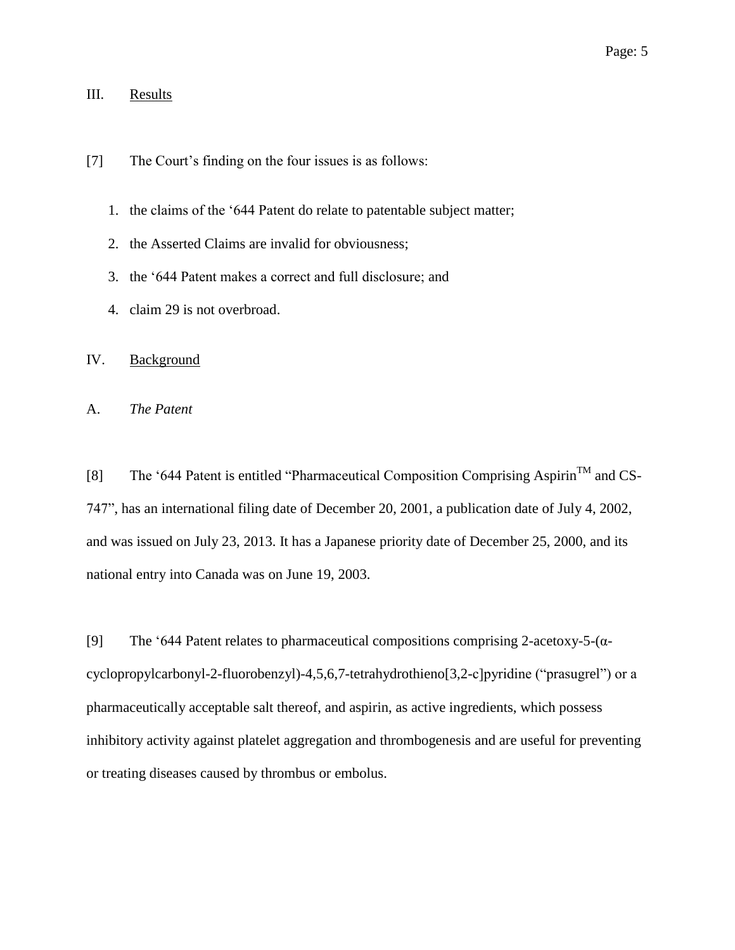### <span id="page-4-0"></span>III. Results

- [7] The Court's finding on the four issues is as follows:
	- 1. the claims of the '644 Patent do relate to patentable subject matter;
	- 2. the Asserted Claims are invalid for obviousness;
	- 3. the '644 Patent makes a correct and full disclosure; and
	- 4. claim 29 is not overbroad.

# <span id="page-4-1"></span>IV. Background

<span id="page-4-2"></span>A. *The Patent*

[8] The '644 Patent is entitled "Pharmaceutical Composition Comprising Aspirin<sup>TM</sup> and CS-747", has an international filing date of December 20, 2001, a publication date of July 4, 2002, and was issued on July 23, 2013. It has a Japanese priority date of December 25, 2000, and its national entry into Canada was on June 19, 2003.

[9] The '644 Patent relates to pharmaceutical compositions comprising 2-acetoxy-5- $(\alpha$ cyclopropylcarbonyl-2-fluorobenzyl)-4,5,6,7-tetrahydrothieno[3,2-c]pyridine ("prasugrel") or a pharmaceutically acceptable salt thereof, and aspirin, as active ingredients, which possess inhibitory activity against platelet aggregation and thrombogenesis and are useful for preventing or treating diseases caused by thrombus or embolus.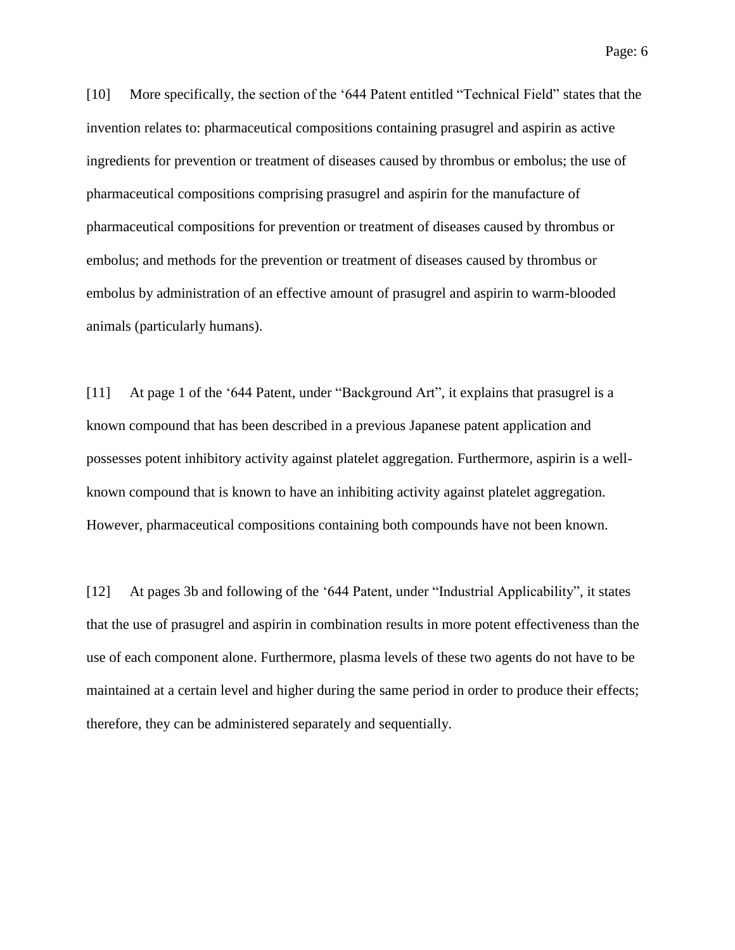Page: 6

[10] More specifically, the section of the '644 Patent entitled "Technical Field" states that the invention relates to: pharmaceutical compositions containing prasugrel and aspirin as active ingredients for prevention or treatment of diseases caused by thrombus or embolus; the use of pharmaceutical compositions comprising prasugrel and aspirin for the manufacture of pharmaceutical compositions for prevention or treatment of diseases caused by thrombus or embolus; and methods for the prevention or treatment of diseases caused by thrombus or embolus by administration of an effective amount of prasugrel and aspirin to warm-blooded animals (particularly humans).

[11] At page 1 of the '644 Patent, under "Background Art", it explains that prasugrel is a known compound that has been described in a previous Japanese patent application and possesses potent inhibitory activity against platelet aggregation. Furthermore, aspirin is a wellknown compound that is known to have an inhibiting activity against platelet aggregation. However, pharmaceutical compositions containing both compounds have not been known.

[12] At pages 3b and following of the '644 Patent, under "Industrial Applicability", it states that the use of prasugrel and aspirin in combination results in more potent effectiveness than the use of each component alone. Furthermore, plasma levels of these two agents do not have to be maintained at a certain level and higher during the same period in order to produce their effects; therefore, they can be administered separately and sequentially.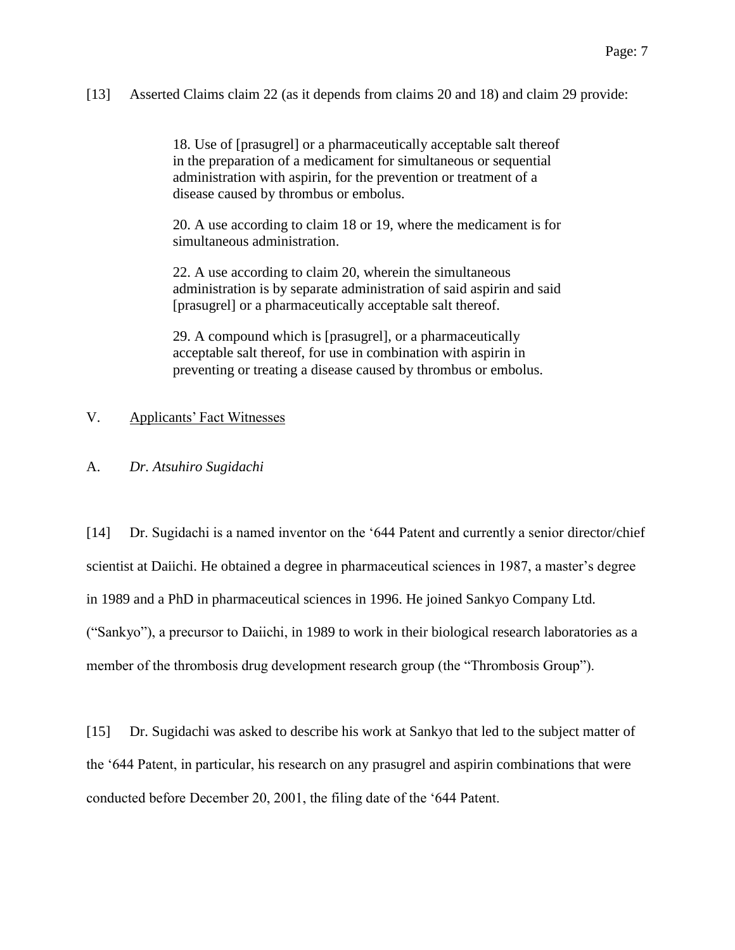[13] Asserted Claims claim 22 (as it depends from claims 20 and 18) and claim 29 provide:

18. Use of [prasugrel] or a pharmaceutically acceptable salt thereof in the preparation of a medicament for simultaneous or sequential administration with aspirin, for the prevention or treatment of a disease caused by thrombus or embolus.

20. A use according to claim 18 or 19, where the medicament is for simultaneous administration.

22. A use according to claim 20, wherein the simultaneous administration is by separate administration of said aspirin and said [prasugrel] or a pharmaceutically acceptable salt thereof.

29. A compound which is [prasugrel], or a pharmaceutically acceptable salt thereof, for use in combination with aspirin in preventing or treating a disease caused by thrombus or embolus.

# <span id="page-6-0"></span>V. Applicants' Fact Witnesses

#### <span id="page-6-1"></span>A. *Dr. Atsuhiro Sugidachi*

[14] Dr. Sugidachi is a named inventor on the '644 Patent and currently a senior director/chief scientist at Daiichi. He obtained a degree in pharmaceutical sciences in 1987, a master's degree in 1989 and a PhD in pharmaceutical sciences in 1996. He joined Sankyo Company Ltd. ("Sankyo"), a precursor to Daiichi, in 1989 to work in their biological research laboratories as a member of the thrombosis drug development research group (the "Thrombosis Group").

[15] Dr. Sugidachi was asked to describe his work at Sankyo that led to the subject matter of the '644 Patent, in particular, his research on any prasugrel and aspirin combinations that were conducted before December 20, 2001, the filing date of the '644 Patent.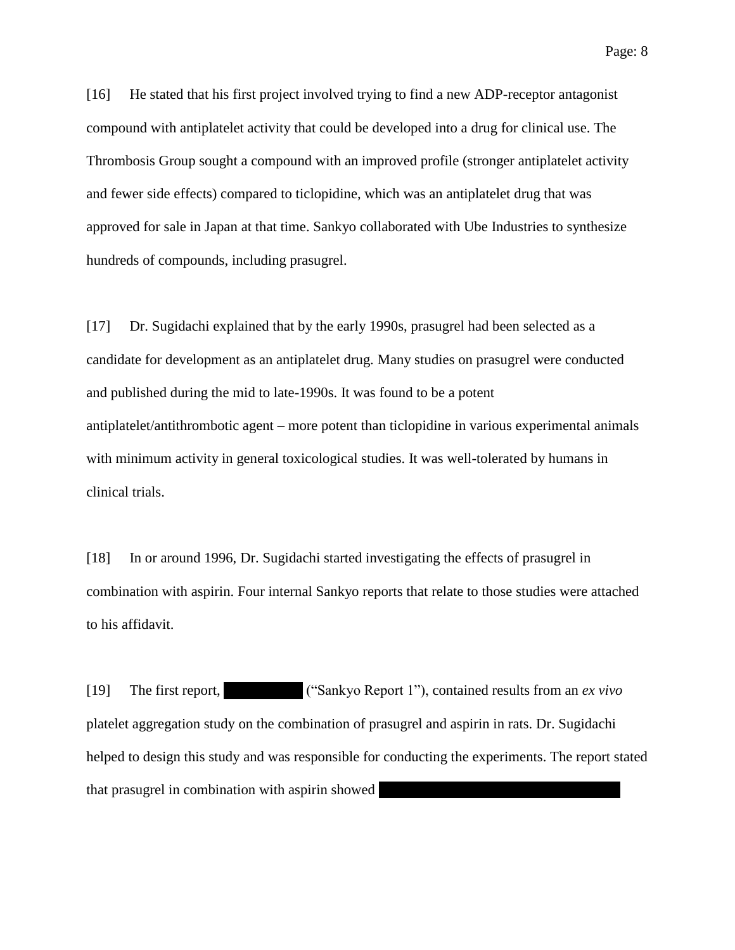[16] He stated that his first project involved trying to find a new ADP-receptor antagonist compound with antiplatelet activity that could be developed into a drug for clinical use. The Thrombosis Group sought a compound with an improved profile (stronger antiplatelet activity and fewer side effects) compared to ticlopidine, which was an antiplatelet drug that was approved for sale in Japan at that time. Sankyo collaborated with Ube Industries to synthesize hundreds of compounds, including prasugrel.

[17] Dr. Sugidachi explained that by the early 1990s, prasugrel had been selected as a candidate for development as an antiplatelet drug. Many studies on prasugrel were conducted and published during the mid to late-1990s. It was found to be a potent antiplatelet/antithrombotic agent – more potent than ticlopidine in various experimental animals with minimum activity in general toxicological studies. It was well-tolerated by humans in clinical trials.

[18] In or around 1996, Dr. Sugidachi started investigating the effects of prasugrel in combination with aspirin. Four internal Sankyo reports that relate to those studies were attached to his affidavit.

[19] The first report,  $\qquad$  ("Sankyo Report 1"), contained results from an *ex vivo* platelet aggregation study on the combination of prasugrel and aspirin in rats. Dr. Sugidachi helped to design this study and was responsible for conducting the experiments. The report stated that prasugrel in combination with aspirin showed ||||||||||||||||||||||||||||||||||||||||||||||||||||||||||||||||||||||||||||||||||||||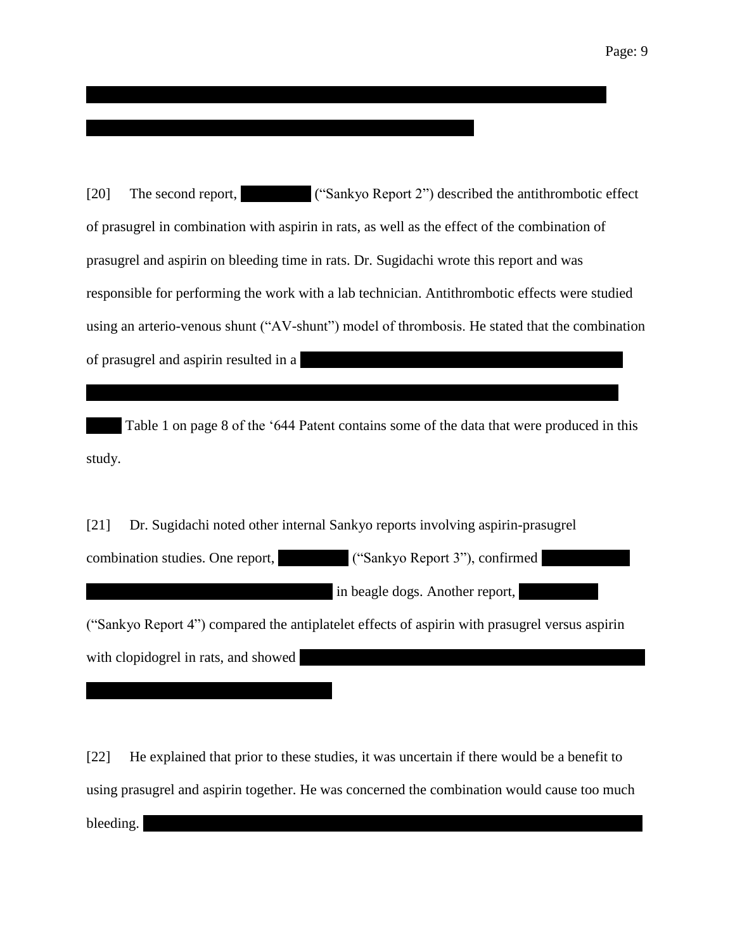[20] The second report, ("Sankyo Report 2") described the antithrombotic effect of prasugrel in combination with aspirin in rats, as well as the effect of the combination of prasugrel and aspirin on bleeding time in rats. Dr. Sugidachi wrote this report and was responsible for performing the work with a lab technician. Antithrombotic effects were studied using an arterio-venous shunt ("AV-shunt") model of thrombosis. He stated that the combination of prasugrel and aspirin resulted in a

|||||||||| Table 1 on page 8 of the '644 Patent contains some of the data that were produced in this study.

[21] Dr. Sugidachi noted other internal Sankyo reports involving aspirin-prasugrel combination studies. One report,  $($ "Sankyo Report 3"), confirmed  $|$  in beagle dogs. Another report, ("Sankyo Report 4") compared the antiplatelet effects of aspirin with prasugrel versus aspirin with clopidogrel in rats, and showed

[22] He explained that prior to these studies, it was uncertain if there would be a benefit to using prasugrel and aspirin together. He was concerned the combination would cause too much  $\blacksquare$ bleeding.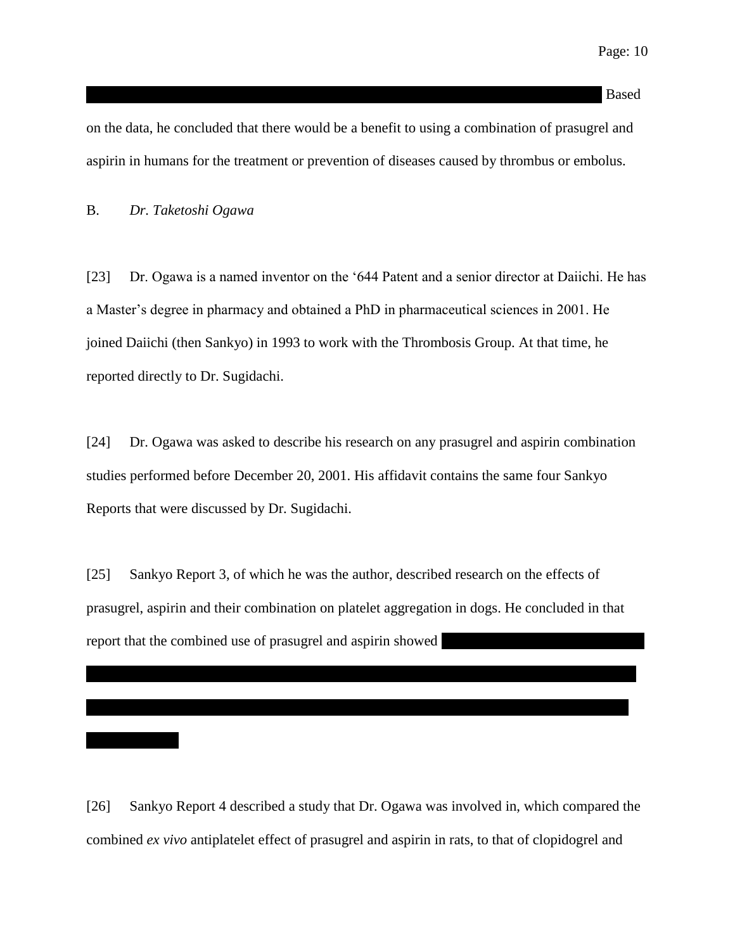#### $|{\rm Based}$

on the data, he concluded that there would be a benefit to using a combination of prasugrel and aspirin in humans for the treatment or prevention of diseases caused by thrombus or embolus.

### <span id="page-9-0"></span>B. *Dr. Taketoshi Ogawa*

[23] Dr. Ogawa is a named inventor on the '644 Patent and a senior director at Daiichi. He has a Master's degree in pharmacy and obtained a PhD in pharmaceutical sciences in 2001. He joined Daiichi (then Sankyo) in 1993 to work with the Thrombosis Group. At that time, he reported directly to Dr. Sugidachi.

[24] Dr. Ogawa was asked to describe his research on any prasugrel and aspirin combination studies performed before December 20, 2001. His affidavit contains the same four Sankyo Reports that were discussed by Dr. Sugidachi.

[25] Sankyo Report 3, of which he was the author, described research on the effects of prasugrel, aspirin and their combination on platelet aggregation in dogs. He concluded in that report that the combined use of prasugrel and aspirin showed

[26] Sankyo Report 4 described a study that Dr. Ogawa was involved in, which compared the combined *ex vivo* antiplatelet effect of prasugrel and aspirin in rats, to that of clopidogrel and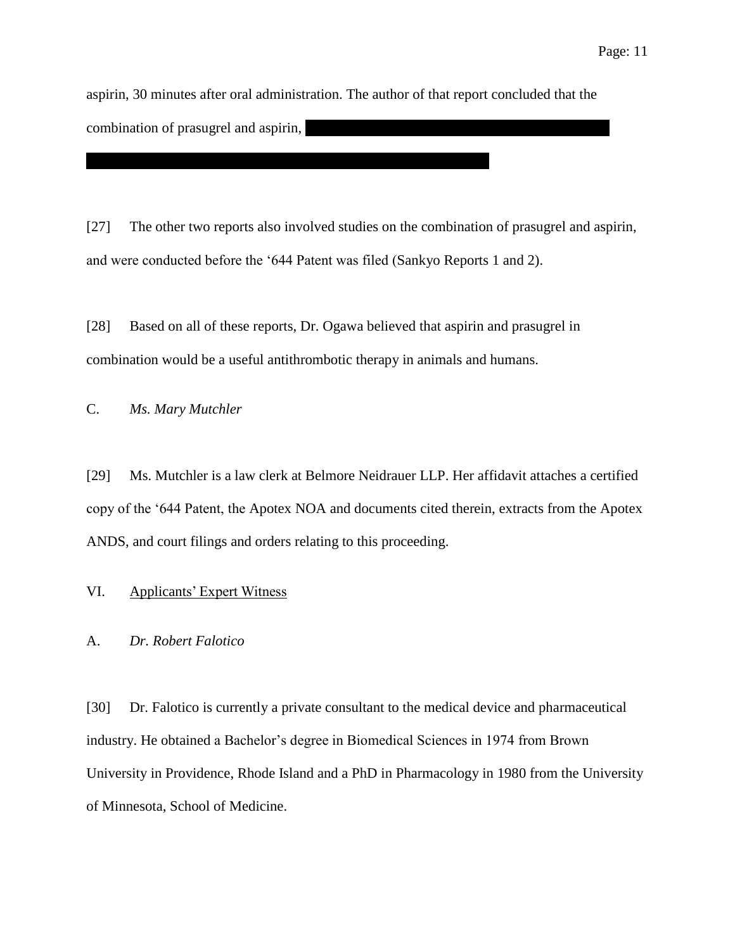aspirin, 30 minutes after oral administration. The author of that report concluded that the combination of prasugrel and aspirin,

[27] The other two reports also involved studies on the combination of prasugrel and aspirin, and were conducted before the '644 Patent was filed (Sankyo Reports 1 and 2).

[28] Based on all of these reports, Dr. Ogawa believed that aspirin and prasugrel in combination would be a useful antithrombotic therapy in animals and humans.

<span id="page-10-0"></span>C. *Ms. Mary Mutchler*

[29] Ms. Mutchler is a law clerk at Belmore Neidrauer LLP. Her affidavit attaches a certified copy of the '644 Patent, the Apotex NOA and documents cited therein, extracts from the Apotex ANDS, and court filings and orders relating to this proceeding.

# <span id="page-10-1"></span>VI. Applicants' Expert Witness

# <span id="page-10-2"></span>A. *Dr. Robert Falotico*

[30] Dr. Falotico is currently a private consultant to the medical device and pharmaceutical industry. He obtained a Bachelor's degree in Biomedical Sciences in 1974 from Brown University in Providence, Rhode Island and a PhD in Pharmacology in 1980 from the University of Minnesota, School of Medicine.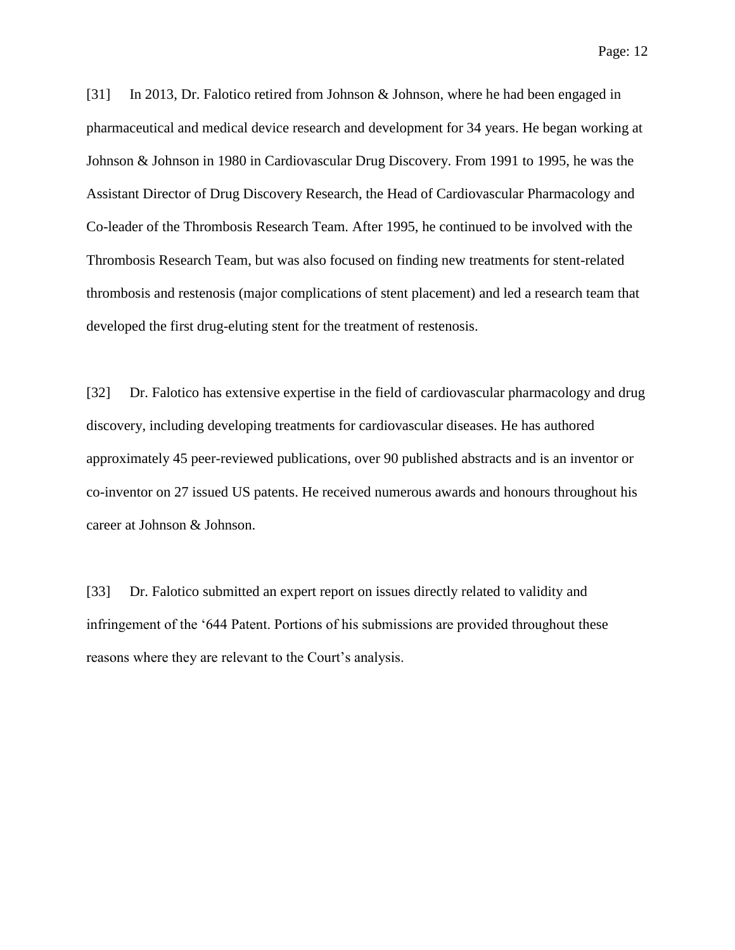[31] In 2013, Dr. Falotico retired from Johnson & Johnson, where he had been engaged in pharmaceutical and medical device research and development for 34 years. He began working at Johnson & Johnson in 1980 in Cardiovascular Drug Discovery. From 1991 to 1995, he was the Assistant Director of Drug Discovery Research, the Head of Cardiovascular Pharmacology and Co-leader of the Thrombosis Research Team. After 1995, he continued to be involved with the Thrombosis Research Team, but was also focused on finding new treatments for stent-related thrombosis and restenosis (major complications of stent placement) and led a research team that developed the first drug-eluting stent for the treatment of restenosis.

[32] Dr. Falotico has extensive expertise in the field of cardiovascular pharmacology and drug discovery, including developing treatments for cardiovascular diseases. He has authored approximately 45 peer-reviewed publications, over 90 published abstracts and is an inventor or co-inventor on 27 issued US patents. He received numerous awards and honours throughout his career at Johnson & Johnson.

[33] Dr. Falotico submitted an expert report on issues directly related to validity and infringement of the '644 Patent. Portions of his submissions are provided throughout these reasons where they are relevant to the Court's analysis.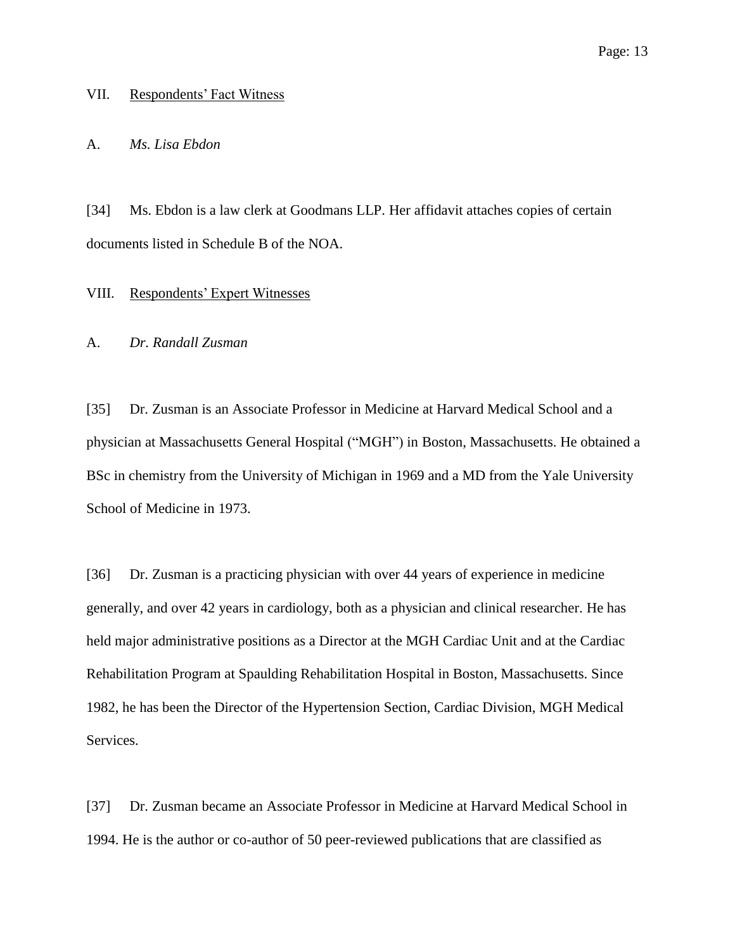#### <span id="page-12-0"></span>VII. Respondents' Fact Witness

#### <span id="page-12-1"></span>A. *Ms. Lisa Ebdon*

[34] Ms. Ebdon is a law clerk at Goodmans LLP. Her affidavit attaches copies of certain documents listed in Schedule B of the NOA.

# <span id="page-12-2"></span>VIII. Respondents' Expert Witnesses

#### <span id="page-12-3"></span>A. *Dr. Randall Zusman*

[35] Dr. Zusman is an Associate Professor in Medicine at Harvard Medical School and a physician at Massachusetts General Hospital ("MGH") in Boston, Massachusetts. He obtained a BSc in chemistry from the University of Michigan in 1969 and a MD from the Yale University School of Medicine in 1973.

[36] Dr. Zusman is a practicing physician with over 44 years of experience in medicine generally, and over 42 years in cardiology, both as a physician and clinical researcher. He has held major administrative positions as a Director at the MGH Cardiac Unit and at the Cardiac Rehabilitation Program at Spaulding Rehabilitation Hospital in Boston, Massachusetts. Since 1982, he has been the Director of the Hypertension Section, Cardiac Division, MGH Medical Services.

[37] Dr. Zusman became an Associate Professor in Medicine at Harvard Medical School in 1994. He is the author or co-author of 50 peer-reviewed publications that are classified as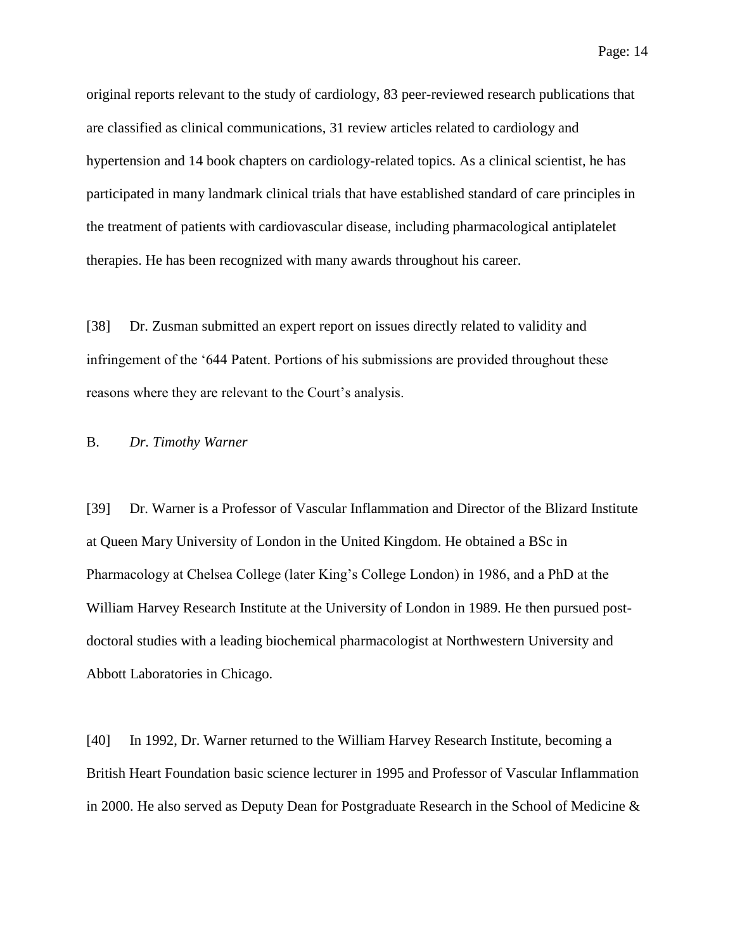original reports relevant to the study of cardiology, 83 peer-reviewed research publications that are classified as clinical communications, 31 review articles related to cardiology and hypertension and 14 book chapters on cardiology-related topics. As a clinical scientist, he has participated in many landmark clinical trials that have established standard of care principles in the treatment of patients with cardiovascular disease, including pharmacological antiplatelet therapies. He has been recognized with many awards throughout his career.

[38] Dr. Zusman submitted an expert report on issues directly related to validity and infringement of the '644 Patent. Portions of his submissions are provided throughout these reasons where they are relevant to the Court's analysis.

### <span id="page-13-0"></span>B. *Dr. Timothy Warner*

[39] Dr. Warner is a Professor of Vascular Inflammation and Director of the Blizard Institute at Queen Mary University of London in the United Kingdom. He obtained a BSc in Pharmacology at Chelsea College (later King's College London) in 1986, and a PhD at the William Harvey Research Institute at the University of London in 1989. He then pursued postdoctoral studies with a leading biochemical pharmacologist at Northwestern University and Abbott Laboratories in Chicago.

[40] In 1992, Dr. Warner returned to the William Harvey Research Institute, becoming a British Heart Foundation basic science lecturer in 1995 and Professor of Vascular Inflammation in 2000. He also served as Deputy Dean for Postgraduate Research in the School of Medicine &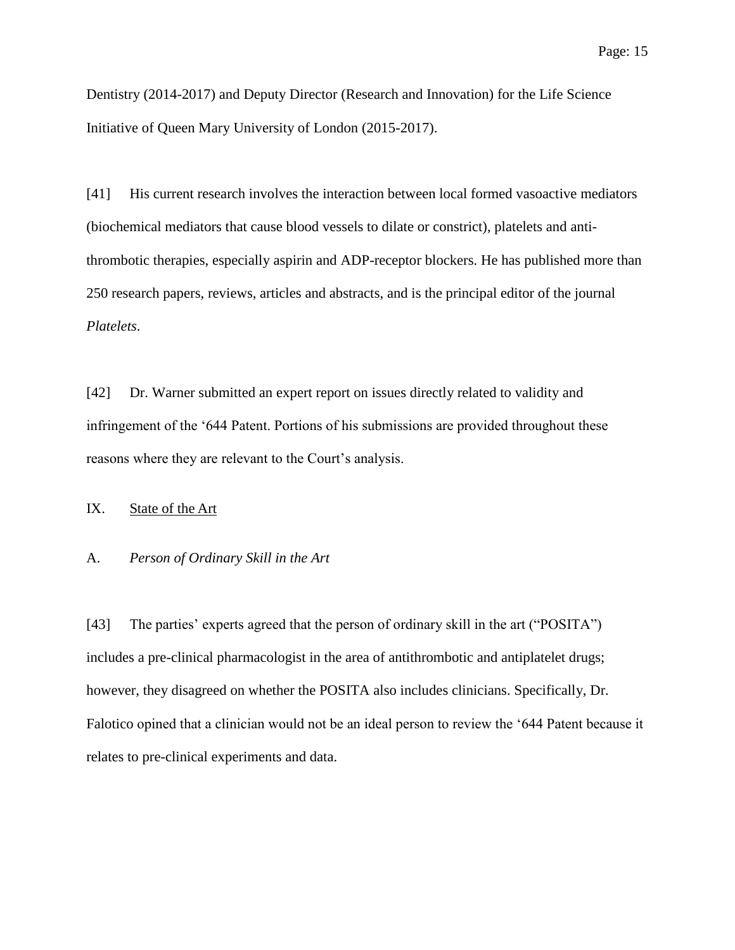Dentistry (2014-2017) and Deputy Director (Research and Innovation) for the Life Science Initiative of Queen Mary University of London (2015-2017).

[41] His current research involves the interaction between local formed vasoactive mediators (biochemical mediators that cause blood vessels to dilate or constrict), platelets and antithrombotic therapies, especially aspirin and ADP-receptor blockers. He has published more than 250 research papers, reviews, articles and abstracts, and is the principal editor of the journal *Platelets*.

[42] Dr. Warner submitted an expert report on issues directly related to validity and infringement of the '644 Patent. Portions of his submissions are provided throughout these reasons where they are relevant to the Court's analysis.

<span id="page-14-0"></span>IX. State of the Art

#### <span id="page-14-1"></span>A. *Person of Ordinary Skill in the Art*

[43] The parties' experts agreed that the person of ordinary skill in the art ("POSITA") includes a pre-clinical pharmacologist in the area of antithrombotic and antiplatelet drugs; however, they disagreed on whether the POSITA also includes clinicians. Specifically, Dr. Falotico opined that a clinician would not be an ideal person to review the '644 Patent because it relates to pre-clinical experiments and data.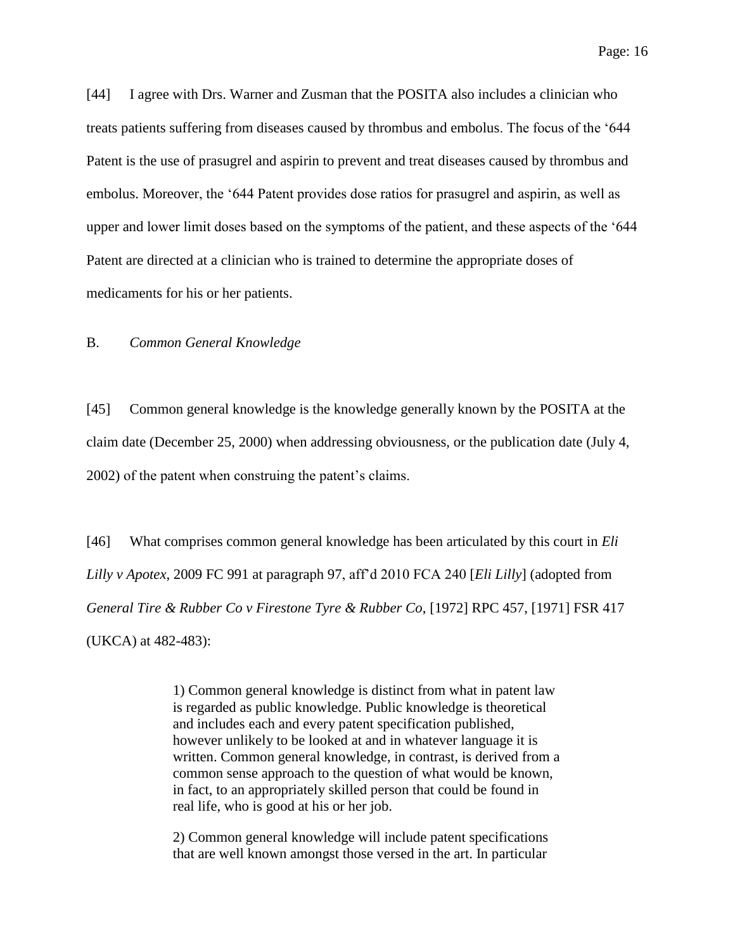Page: 16

[44] I agree with Drs. Warner and Zusman that the POSITA also includes a clinician who treats patients suffering from diseases caused by thrombus and embolus. The focus of the '644 Patent is the use of prasugrel and aspirin to prevent and treat diseases caused by thrombus and embolus. Moreover, the '644 Patent provides dose ratios for prasugrel and aspirin, as well as upper and lower limit doses based on the symptoms of the patient, and these aspects of the '644 Patent are directed at a clinician who is trained to determine the appropriate doses of medicaments for his or her patients.

### <span id="page-15-0"></span>B. *Common General Knowledge*

[45] Common general knowledge is the knowledge generally known by the POSITA at the claim date (December 25, 2000) when addressing obviousness, or the publication date (July 4, 2002) of the patent when construing the patent's claims.

[46] What comprises common general knowledge has been articulated by this court in *Eli Lilly v Apotex*, 2009 FC 991 at paragraph 97, aff'd 2010 FCA 240 [*Eli Lilly*] (adopted from *General Tire & Rubber Co v Firestone Tyre & Rubber Co*, [1972] RPC 457, [1971] FSR 417 (UKCA) at 482-483):

> 1) Common general knowledge is distinct from what in patent law is regarded as public knowledge. Public knowledge is theoretical and includes each and every patent specification published, however unlikely to be looked at and in whatever language it is written. Common general knowledge, in contrast, is derived from a common sense approach to the question of what would be known, in fact, to an appropriately skilled person that could be found in real life, who is good at his or her job.

2) Common general knowledge will include patent specifications that are well known amongst those versed in the art. In particular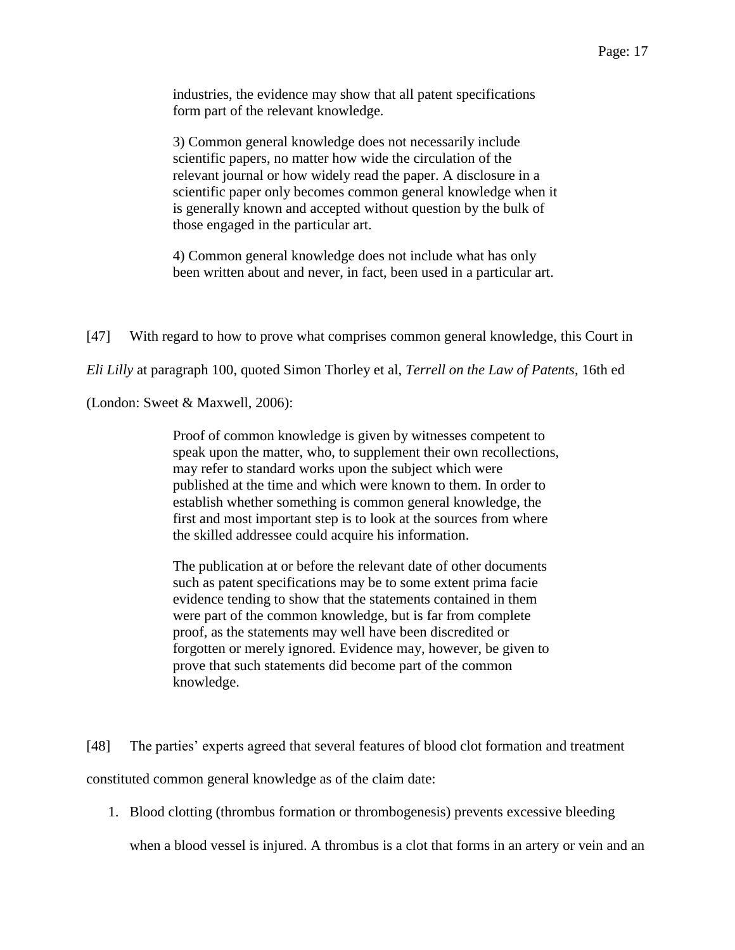industries, the evidence may show that all patent specifications form part of the relevant knowledge.

3) Common general knowledge does not necessarily include scientific papers, no matter how wide the circulation of the relevant journal or how widely read the paper. A disclosure in a scientific paper only becomes common general knowledge when it is generally known and accepted without question by the bulk of those engaged in the particular art.

4) Common general knowledge does not include what has only been written about and never, in fact, been used in a particular art.

[47] With regard to how to prove what comprises common general knowledge, this Court in

*Eli Lilly* at paragraph 100, quoted Simon Thorley et al, *Terrell on the Law of Patents*, 16th ed

(London: Sweet & Maxwell, 2006):

Proof of common knowledge is given by witnesses competent to speak upon the matter, who, to supplement their own recollections, may refer to standard works upon the subject which were published at the time and which were known to them. In order to establish whether something is common general knowledge, the first and most important step is to look at the sources from where the skilled addressee could acquire his information.

The publication at or before the relevant date of other documents such as patent specifications may be to some extent prima facie evidence tending to show that the statements contained in them were part of the common knowledge, but is far from complete proof, as the statements may well have been discredited or forgotten or merely ignored. Evidence may, however, be given to prove that such statements did become part of the common knowledge.

[48] The parties' experts agreed that several features of blood clot formation and treatment constituted common general knowledge as of the claim date:

1. Blood clotting (thrombus formation or thrombogenesis) prevents excessive bleeding

when a blood vessel is injured. A thrombus is a clot that forms in an artery or vein and an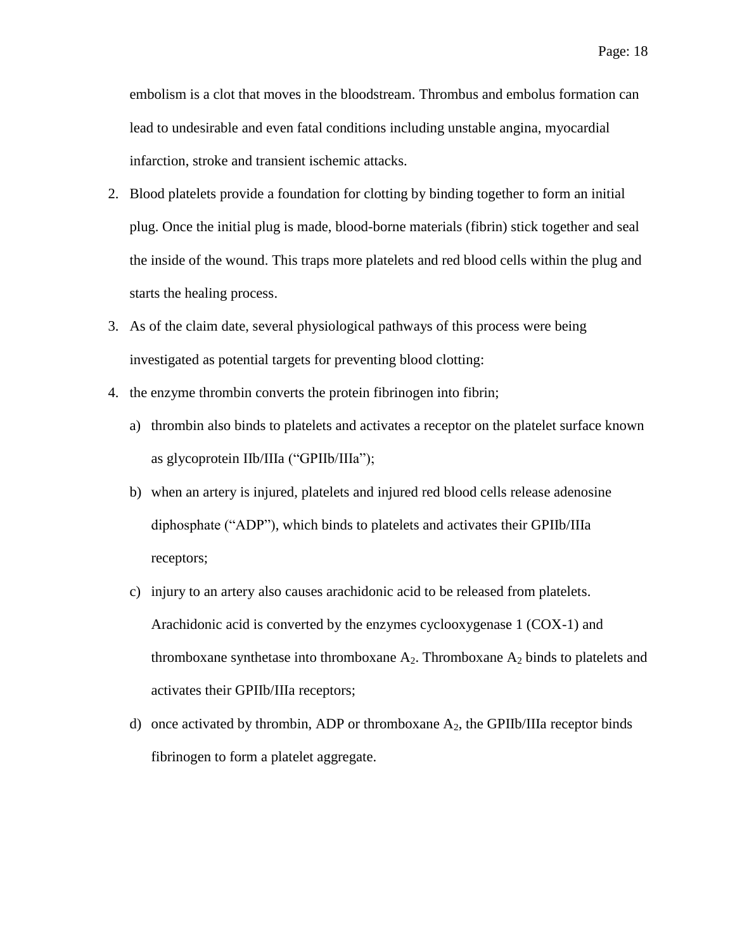embolism is a clot that moves in the bloodstream. Thrombus and embolus formation can lead to undesirable and even fatal conditions including unstable angina, myocardial infarction, stroke and transient ischemic attacks.

- 2. Blood platelets provide a foundation for clotting by binding together to form an initial plug. Once the initial plug is made, blood-borne materials (fibrin) stick together and seal the inside of the wound. This traps more platelets and red blood cells within the plug and starts the healing process.
- 3. As of the claim date, several physiological pathways of this process were being investigated as potential targets for preventing blood clotting:
- 4. the enzyme thrombin converts the protein fibrinogen into fibrin;
	- a) thrombin also binds to platelets and activates a receptor on the platelet surface known as glycoprotein IIb/IIIa ("GPIIb/IIIa");
	- b) when an artery is injured, platelets and injured red blood cells release adenosine diphosphate ("ADP"), which binds to platelets and activates their GPIIb/IIIa receptors;
	- c) injury to an artery also causes arachidonic acid to be released from platelets. Arachidonic acid is converted by the enzymes cyclooxygenase 1 (COX-1) and thromboxane synthetase into thromboxane  $A_2$ . Thromboxane  $A_2$  binds to platelets and activates their GPIIb/IIIa receptors;
	- d) once activated by thrombin, ADP or thromboxane  $A_2$ , the GPIIb/IIIa receptor binds fibrinogen to form a platelet aggregate.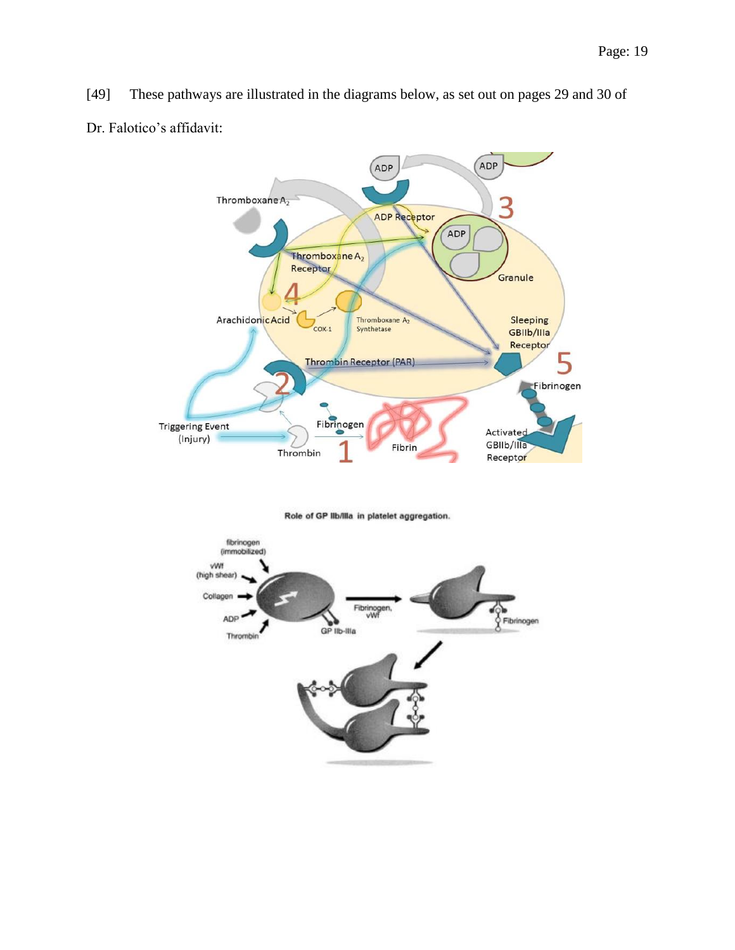[49] These pathways are illustrated in the diagrams below, as set out on pages 29 and 30 of Dr. Falotico's affidavit:



Role of GP Ilb/Illa in platelet aggregation.

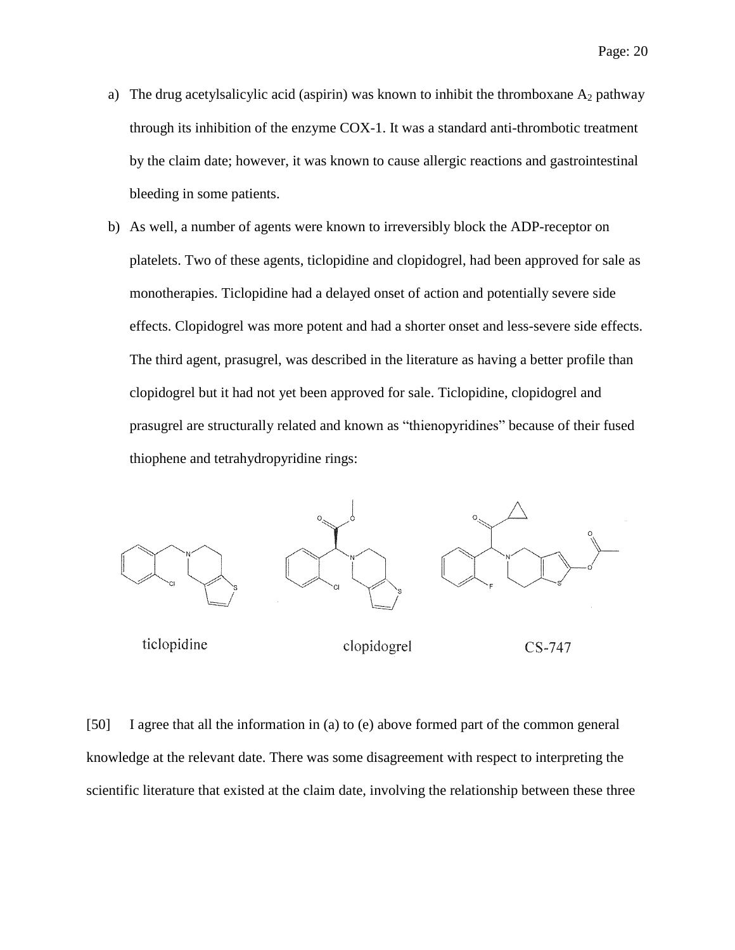- a) The drug acetylsalicylic acid (aspirin) was known to inhibit the thromboxane  $A_2$  pathway through its inhibition of the enzyme COX-1. It was a standard anti-thrombotic treatment by the claim date; however, it was known to cause allergic reactions and gastrointestinal bleeding in some patients.
- b) As well, a number of agents were known to irreversibly block the ADP-receptor on platelets. Two of these agents, ticlopidine and clopidogrel, had been approved for sale as monotherapies. Ticlopidine had a delayed onset of action and potentially severe side effects. Clopidogrel was more potent and had a shorter onset and less-severe side effects. The third agent, prasugrel, was described in the literature as having a better profile than clopidogrel but it had not yet been approved for sale. Ticlopidine, clopidogrel and prasugrel are structurally related and known as "thienopyridines" because of their fused thiophene and tetrahydropyridine rings:



ticlopidine

clopidogrel

```
CS-747
```
[50] I agree that all the information in (a) to (e) above formed part of the common general knowledge at the relevant date. There was some disagreement with respect to interpreting the scientific literature that existed at the claim date, involving the relationship between these three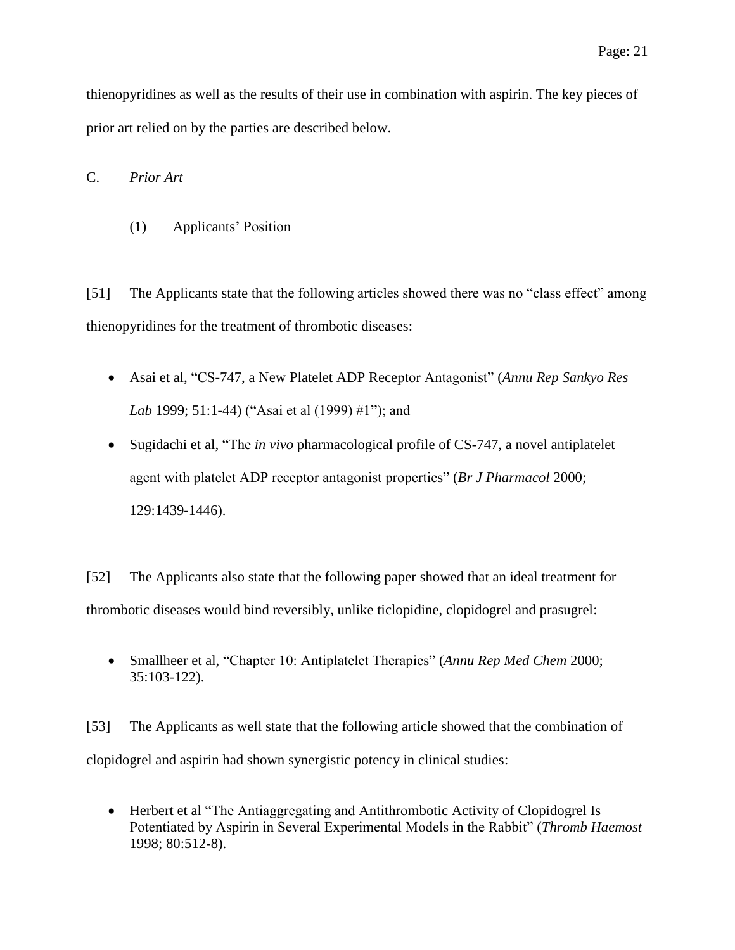thienopyridines as well as the results of their use in combination with aspirin. The key pieces of prior art relied on by the parties are described below.

<span id="page-20-1"></span><span id="page-20-0"></span>C. *Prior Art*

(1) Applicants' Position

[51] The Applicants state that the following articles showed there was no "class effect" among thienopyridines for the treatment of thrombotic diseases:

- Asai et al, "CS-747, a New Platelet ADP Receptor Antagonist" (*Annu Rep Sankyo Res Lab* 1999; 51:1-44) ("Asai et al (1999) #1"); and
- Sugidachi et al, "The *in vivo* pharmacological profile of CS-747, a novel antiplatelet agent with platelet ADP receptor antagonist properties" (*Br J Pharmacol* 2000; 129:1439-1446).

[52] The Applicants also state that the following paper showed that an ideal treatment for thrombotic diseases would bind reversibly, unlike ticlopidine, clopidogrel and prasugrel:

 Smallheer et al, "Chapter 10: Antiplatelet Therapies" (*Annu Rep Med Chem* 2000; 35:103-122).

[53] The Applicants as well state that the following article showed that the combination of clopidogrel and aspirin had shown synergistic potency in clinical studies:

• Herbert et al "The Antiaggregating and Antithrombotic Activity of Clopidogrel Is Potentiated by Aspirin in Several Experimental Models in the Rabbit" (*Thromb Haemost* 1998; 80:512-8).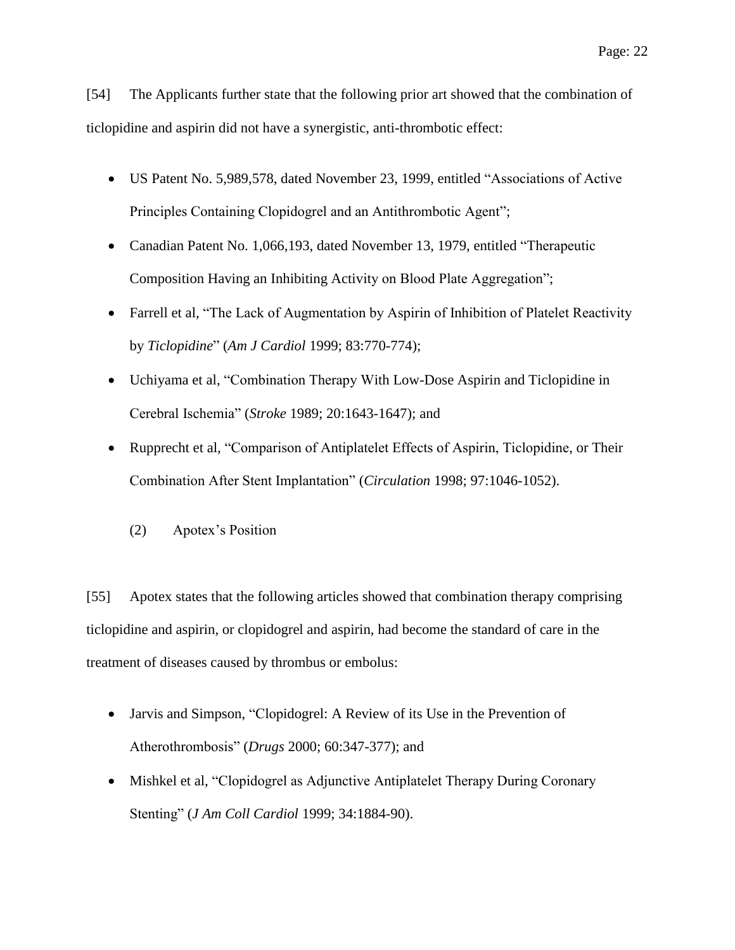[54] The Applicants further state that the following prior art showed that the combination of ticlopidine and aspirin did not have a synergistic, anti-thrombotic effect:

- US Patent No. 5,989,578, dated November 23, 1999, entitled "Associations of Active Principles Containing Clopidogrel and an Antithrombotic Agent";
- Canadian Patent No. 1,066,193, dated November 13, 1979, entitled "Therapeutic Composition Having an Inhibiting Activity on Blood Plate Aggregation";
- Farrell et al, "The Lack of Augmentation by Aspirin of Inhibition of Platelet Reactivity by *Ticlopidine*" (*Am J Cardiol* 1999; 83:770-774);
- Uchiyama et al, "Combination Therapy With Low-Dose Aspirin and Ticlopidine in Cerebral Ischemia" (*Stroke* 1989; 20:1643-1647); and
- <span id="page-21-0"></span> Rupprecht et al, "Comparison of Antiplatelet Effects of Aspirin, Ticlopidine, or Their Combination After Stent Implantation" (*Circulation* 1998; 97:1046-1052).
	- (2) Apotex's Position

[55] Apotex states that the following articles showed that combination therapy comprising ticlopidine and aspirin, or clopidogrel and aspirin, had become the standard of care in the treatment of diseases caused by thrombus or embolus:

- Jarvis and Simpson, "Clopidogrel: A Review of its Use in the Prevention of Atherothrombosis" (*Drugs* 2000; 60:347-377); and
- Mishkel et al, "Clopidogrel as Adjunctive Antiplatelet Therapy During Coronary Stenting" (*J Am Coll Cardiol* 1999; 34:1884-90).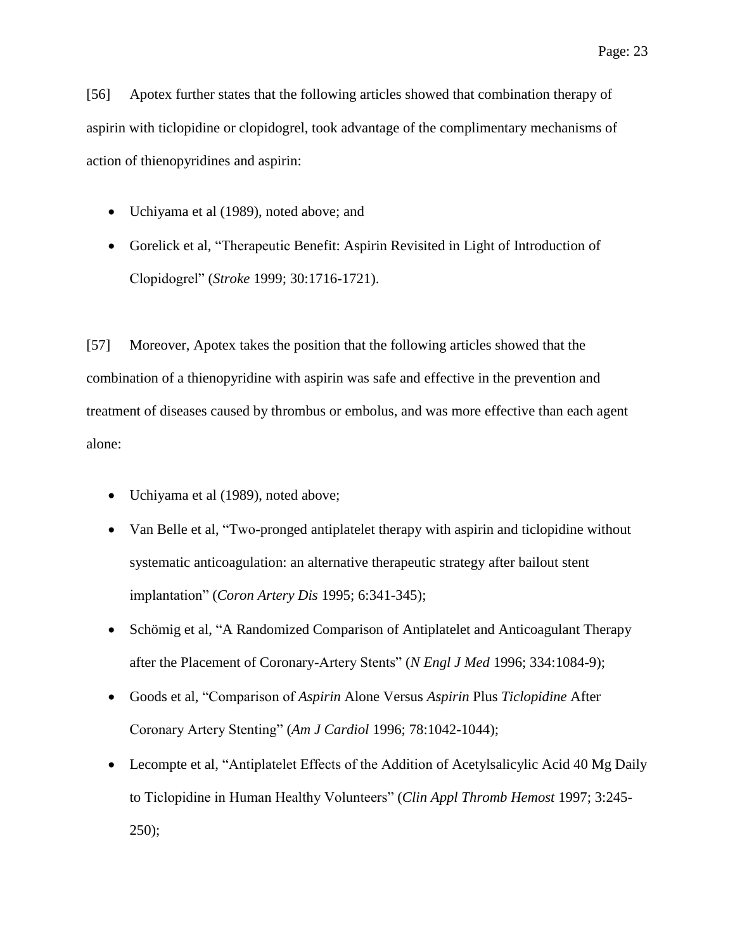[56] Apotex further states that the following articles showed that combination therapy of aspirin with ticlopidine or clopidogrel, took advantage of the complimentary mechanisms of action of thienopyridines and aspirin:

- Uchiyama et al (1989), noted above; and
- Gorelick et al, "Therapeutic Benefit: Aspirin Revisited in Light of Introduction of Clopidogrel" (*Stroke* 1999; 30:1716-1721).

[57] Moreover, Apotex takes the position that the following articles showed that the combination of a thienopyridine with aspirin was safe and effective in the prevention and treatment of diseases caused by thrombus or embolus, and was more effective than each agent alone:

- Uchiyama et al (1989), noted above;
- Van Belle et al, "Two-pronged antiplatelet therapy with aspirin and ticlopidine without systematic anticoagulation: an alternative therapeutic strategy after bailout stent implantation" (*Coron Artery Dis* 1995; 6:341-345);
- Schömig et al, "A Randomized Comparison of Antiplatelet and Anticoagulant Therapy after the Placement of Coronary-Artery Stents" (*N Engl J Med* 1996; 334:1084-9);
- Goods et al, "Comparison of *Aspirin* Alone Versus *Aspirin* Plus *Ticlopidine* After Coronary Artery Stenting" (*Am J Cardiol* 1996; 78:1042-1044);
- Lecompte et al, "Antiplatelet Effects of the Addition of Acetylsalicylic Acid 40 Mg Daily to Ticlopidine in Human Healthy Volunteers" (*Clin Appl Thromb Hemost* 1997; 3:245- 250);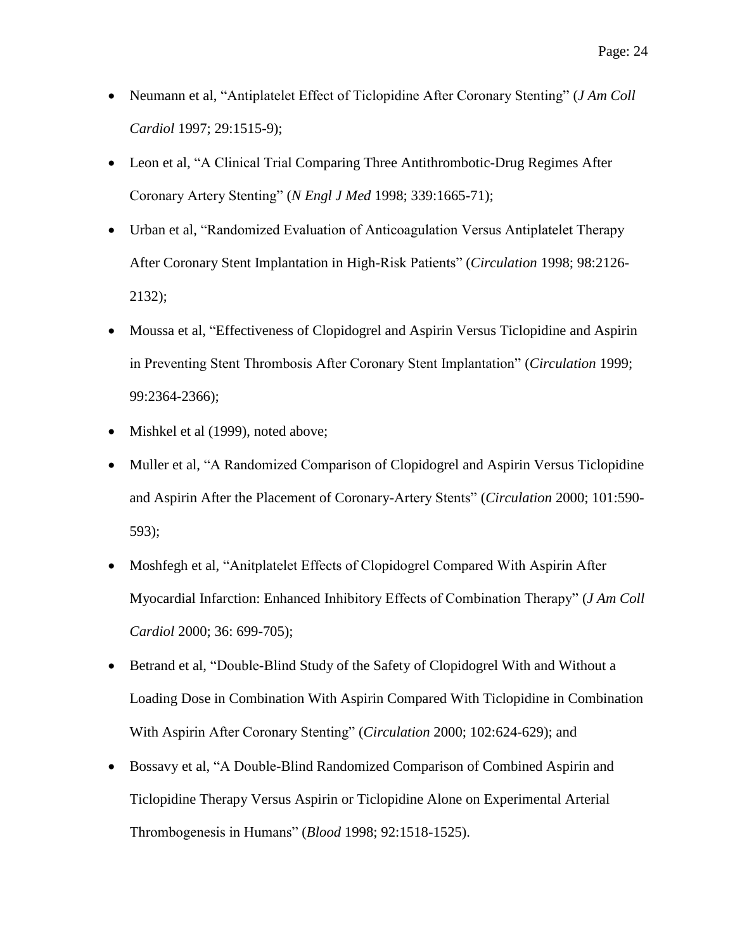- Neumann et al, "Antiplatelet Effect of Ticlopidine After Coronary Stenting" (*J Am Coll Cardiol* 1997; 29:1515-9);
- Leon et al, "A Clinical Trial Comparing Three Antithrombotic-Drug Regimes After Coronary Artery Stenting" (*N Engl J Med* 1998; 339:1665-71);
- Urban et al, "Randomized Evaluation of Anticoagulation Versus Antiplatelet Therapy After Coronary Stent Implantation in High-Risk Patients" (*Circulation* 1998; 98:2126- 2132);
- Moussa et al, "Effectiveness of Clopidogrel and Aspirin Versus Ticlopidine and Aspirin in Preventing Stent Thrombosis After Coronary Stent Implantation" (*Circulation* 1999; 99:2364-2366);
- Mishkel et al (1999), noted above;
- Muller et al, "A Randomized Comparison of Clopidogrel and Aspirin Versus Ticlopidine and Aspirin After the Placement of Coronary-Artery Stents" (*Circulation* 2000; 101:590- 593);
- Moshfegh et al, "Anitplatelet Effects of Clopidogrel Compared With Aspirin After Myocardial Infarction: Enhanced Inhibitory Effects of Combination Therapy" (*J Am Coll Cardiol* 2000; 36: 699-705);
- Betrand et al, "Double-Blind Study of the Safety of Clopidogrel With and Without a Loading Dose in Combination With Aspirin Compared With Ticlopidine in Combination With Aspirin After Coronary Stenting" (*Circulation* 2000; 102:624-629); and
- Bossavy et al, "A Double-Blind Randomized Comparison of Combined Aspirin and Ticlopidine Therapy Versus Aspirin or Ticlopidine Alone on Experimental Arterial Thrombogenesis in Humans" (*Blood* 1998; 92:1518-1525).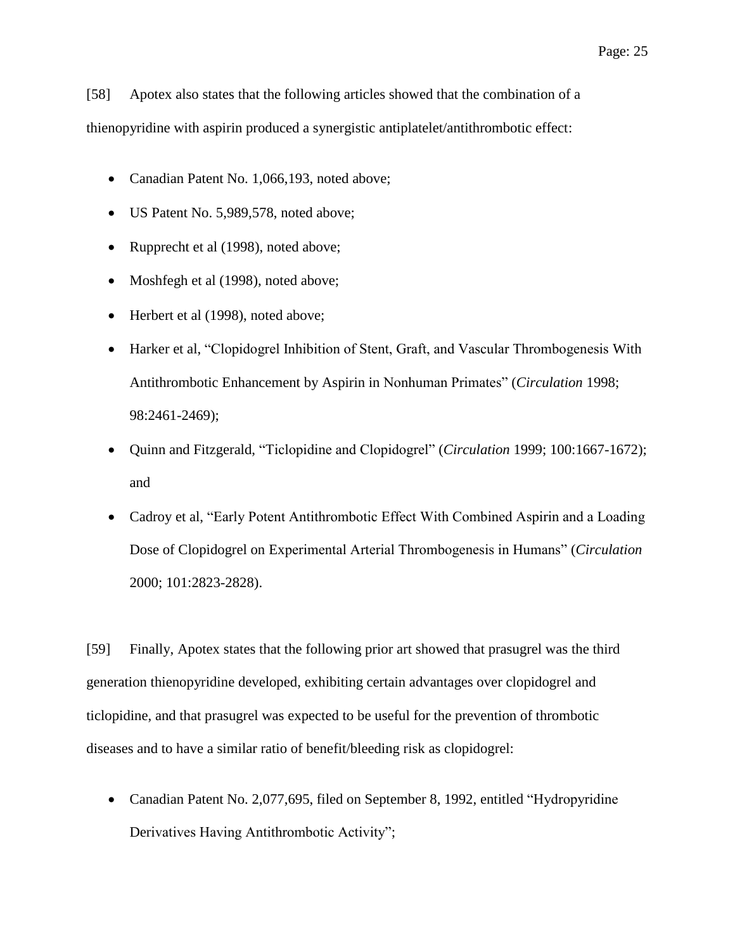[58] Apotex also states that the following articles showed that the combination of a thienopyridine with aspirin produced a synergistic antiplatelet/antithrombotic effect:

- Canadian Patent No. 1,066,193, noted above;
- US Patent No. 5,989,578, noted above;
- Rupprecht et al (1998), noted above;
- Moshfegh et al (1998), noted above;
- Herbert et al (1998), noted above;
- Harker et al, "Clopidogrel Inhibition of Stent, Graft, and Vascular Thrombogenesis With Antithrombotic Enhancement by Aspirin in Nonhuman Primates" (*Circulation* 1998; 98:2461-2469);
- Quinn and Fitzgerald, "Ticlopidine and Clopidogrel" (*Circulation* 1999; 100:1667-1672); and
- Cadroy et al, "Early Potent Antithrombotic Effect With Combined Aspirin and a Loading Dose of Clopidogrel on Experimental Arterial Thrombogenesis in Humans" (*Circulation*  2000; 101:2823-2828).

[59] Finally, Apotex states that the following prior art showed that prasugrel was the third generation thienopyridine developed, exhibiting certain advantages over clopidogrel and ticlopidine, and that prasugrel was expected to be useful for the prevention of thrombotic diseases and to have a similar ratio of benefit/bleeding risk as clopidogrel:

• Canadian Patent No. 2,077,695, filed on September 8, 1992, entitled "Hydropyridine" Derivatives Having Antithrombotic Activity";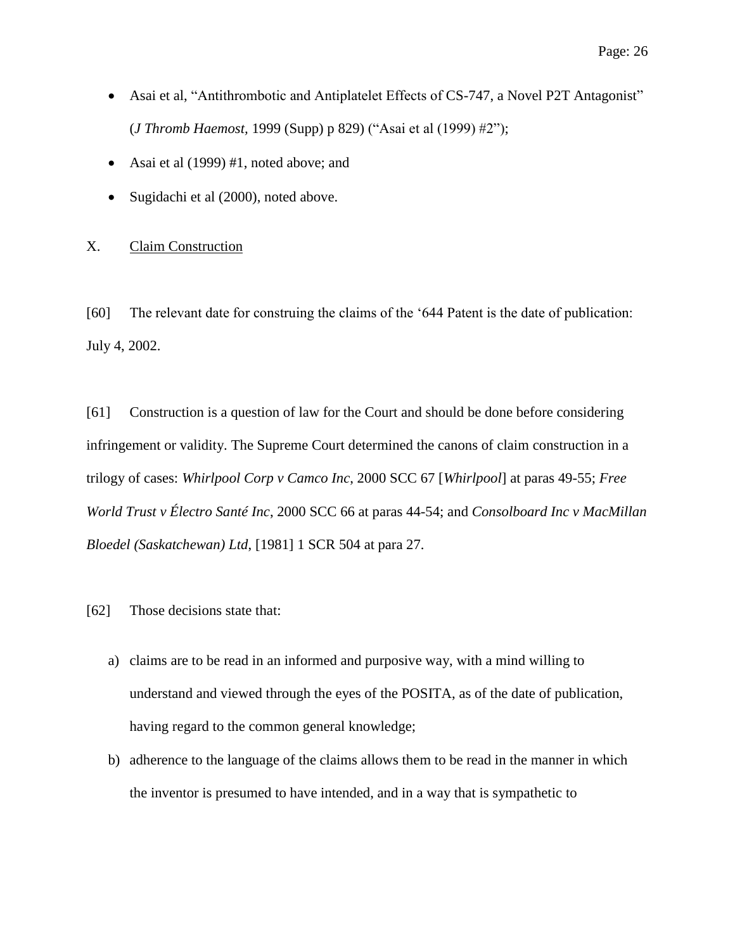- Asai et al, "Antithrombotic and Antiplatelet Effects of CS-747, a Novel P2T Antagonist" (*J Thromb Haemost,* 1999 (Supp) p 829) ("Asai et al (1999) #2");
- Asai et al (1999) #1, noted above; and
- Sugidachi et al (2000), noted above.

# <span id="page-25-0"></span>X. Claim Construction

[60] The relevant date for construing the claims of the '644 Patent is the date of publication: July 4, 2002.

[61] Construction is a question of law for the Court and should be done before considering infringement or validity. The Supreme Court determined the canons of claim construction in a trilogy of cases: *Whirlpool Corp v Camco Inc*, 2000 SCC 67 [*Whirlpool*] at paras 49-55; *Free World Trust v Électro Santé Inc*, 2000 SCC 66 at paras 44-54; and *Consolboard Inc v MacMillan Bloedel (Saskatchewan) Ltd*, [1981] 1 SCR 504 at para 27.

- [62] Those decisions state that:
	- a) claims are to be read in an informed and purposive way, with a mind willing to understand and viewed through the eyes of the POSITA, as of the date of publication, having regard to the common general knowledge;
	- b) adherence to the language of the claims allows them to be read in the manner in which the inventor is presumed to have intended, and in a way that is sympathetic to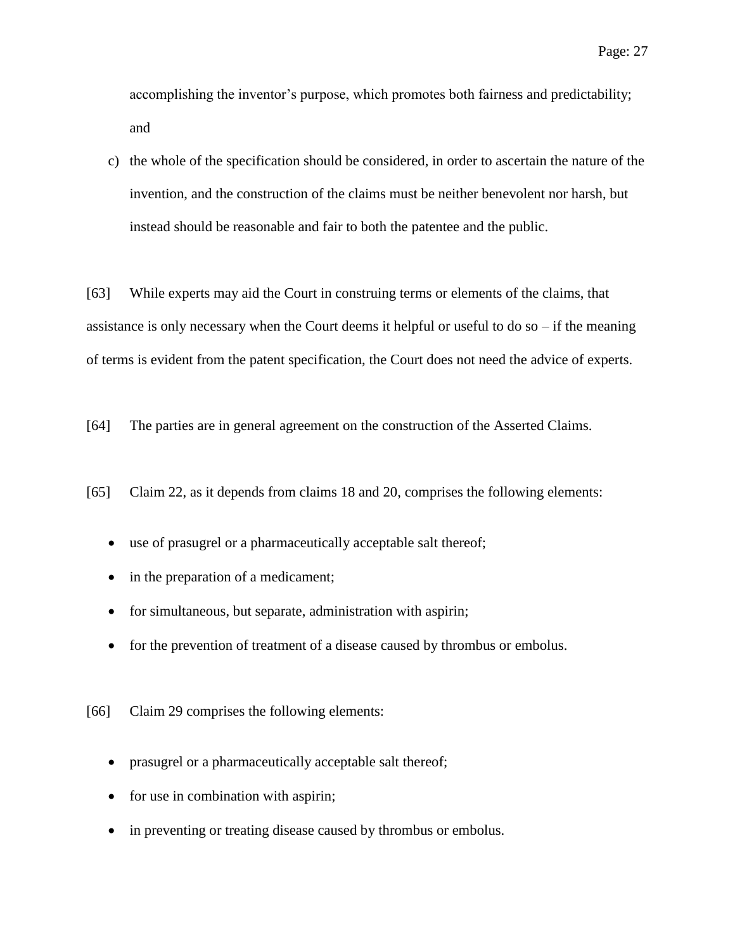accomplishing the inventor's purpose, which promotes both fairness and predictability; and

c) the whole of the specification should be considered, in order to ascertain the nature of the invention, and the construction of the claims must be neither benevolent nor harsh, but instead should be reasonable and fair to both the patentee and the public.

[63] While experts may aid the Court in construing terms or elements of the claims, that assistance is only necessary when the Court deems it helpful or useful to do so  $-$  if the meaning of terms is evident from the patent specification, the Court does not need the advice of experts.

[64] The parties are in general agreement on the construction of the Asserted Claims.

[65] Claim 22, as it depends from claims 18 and 20, comprises the following elements:

- use of prasugrel or a pharmaceutically acceptable salt thereof;
- in the preparation of a medicament;
- for simultaneous, but separate, administration with aspirin;
- for the prevention of treatment of a disease caused by thrombus or embolus.

[66] Claim 29 comprises the following elements:

- prasugrel or a pharmaceutically acceptable salt thereof;
- for use in combination with aspirin;
- in preventing or treating disease caused by thrombus or embolus.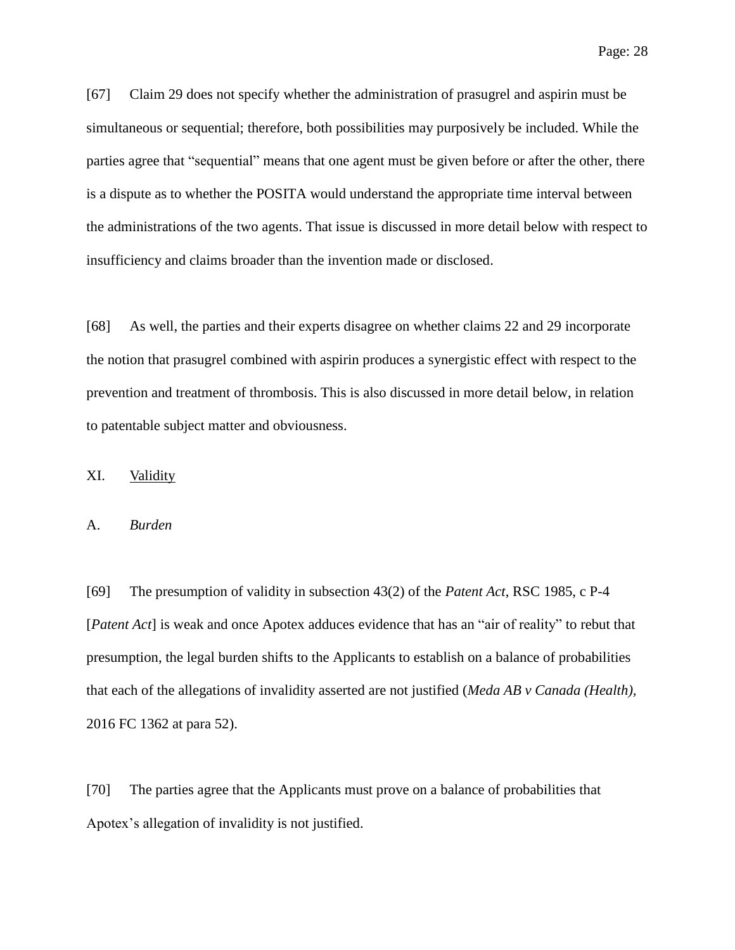Page: 28

[67] Claim 29 does not specify whether the administration of prasugrel and aspirin must be simultaneous or sequential; therefore, both possibilities may purposively be included. While the parties agree that "sequential" means that one agent must be given before or after the other, there is a dispute as to whether the POSITA would understand the appropriate time interval between the administrations of the two agents. That issue is discussed in more detail below with respect to insufficiency and claims broader than the invention made or disclosed.

[68] As well, the parties and their experts disagree on whether claims 22 and 29 incorporate the notion that prasugrel combined with aspirin produces a synergistic effect with respect to the prevention and treatment of thrombosis. This is also discussed in more detail below, in relation to patentable subject matter and obviousness.

# <span id="page-27-0"></span>XI. Validity

#### <span id="page-27-1"></span>A. *Burden*

[69] The presumption of validity in subsection 43(2) of the *Patent Act*, RSC 1985, c P-4 [*Patent Act*] is weak and once Apotex adduces evidence that has an "air of reality" to rebut that presumption, the legal burden shifts to the Applicants to establish on a balance of probabilities that each of the allegations of invalidity asserted are not justified (*Meda AB v Canada (Health),* 2016 FC 1362 at para 52).

[70] The parties agree that the Applicants must prove on a balance of probabilities that Apotex's allegation of invalidity is not justified.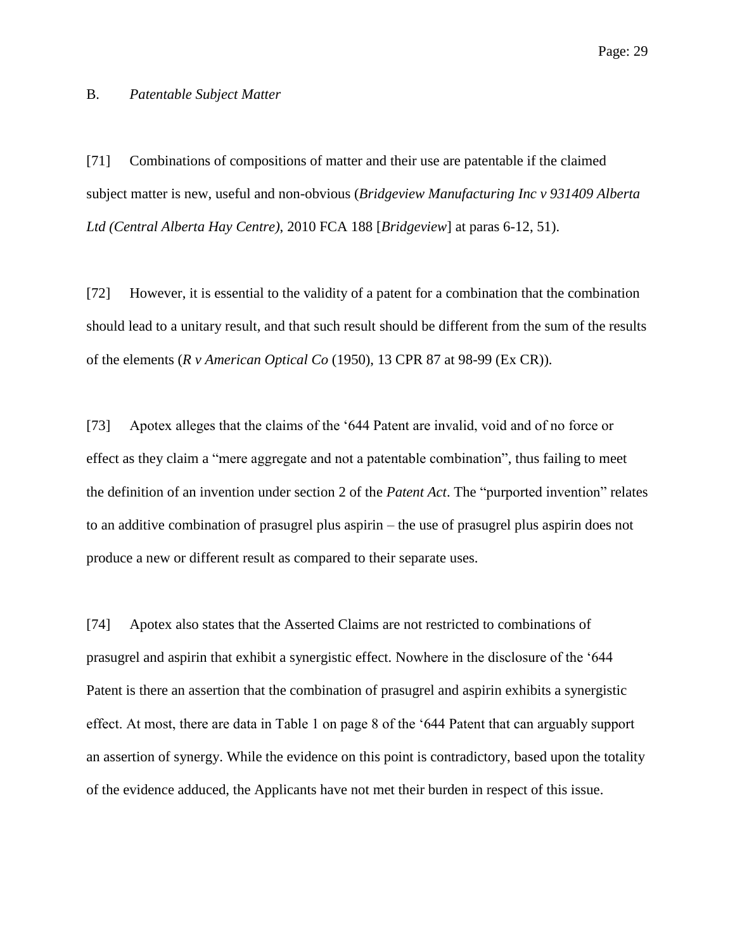#### <span id="page-28-0"></span>B. *Patentable Subject Matter*

[71] Combinations of compositions of matter and their use are patentable if the claimed subject matter is new, useful and non-obvious (*Bridgeview Manufacturing Inc v 931409 Alberta Ltd (Central Alberta Hay Centre)*, 2010 FCA 188 [*Bridgeview*] at paras 6-12, 51).

[72] However, it is essential to the validity of a patent for a combination that the combination should lead to a unitary result, and that such result should be different from the sum of the results of the elements (*R v American Optical Co* (1950), 13 CPR 87 at 98-99 (Ex CR)).

[73] Apotex alleges that the claims of the '644 Patent are invalid, void and of no force or effect as they claim a "mere aggregate and not a patentable combination", thus failing to meet the definition of an invention under section 2 of the *Patent Act*. The "purported invention" relates to an additive combination of prasugrel plus aspirin – the use of prasugrel plus aspirin does not produce a new or different result as compared to their separate uses.

[74] Apotex also states that the Asserted Claims are not restricted to combinations of prasugrel and aspirin that exhibit a synergistic effect. Nowhere in the disclosure of the '644 Patent is there an assertion that the combination of prasugrel and aspirin exhibits a synergistic effect. At most, there are data in Table 1 on page 8 of the '644 Patent that can arguably support an assertion of synergy. While the evidence on this point is contradictory, based upon the totality of the evidence adduced, the Applicants have not met their burden in respect of this issue.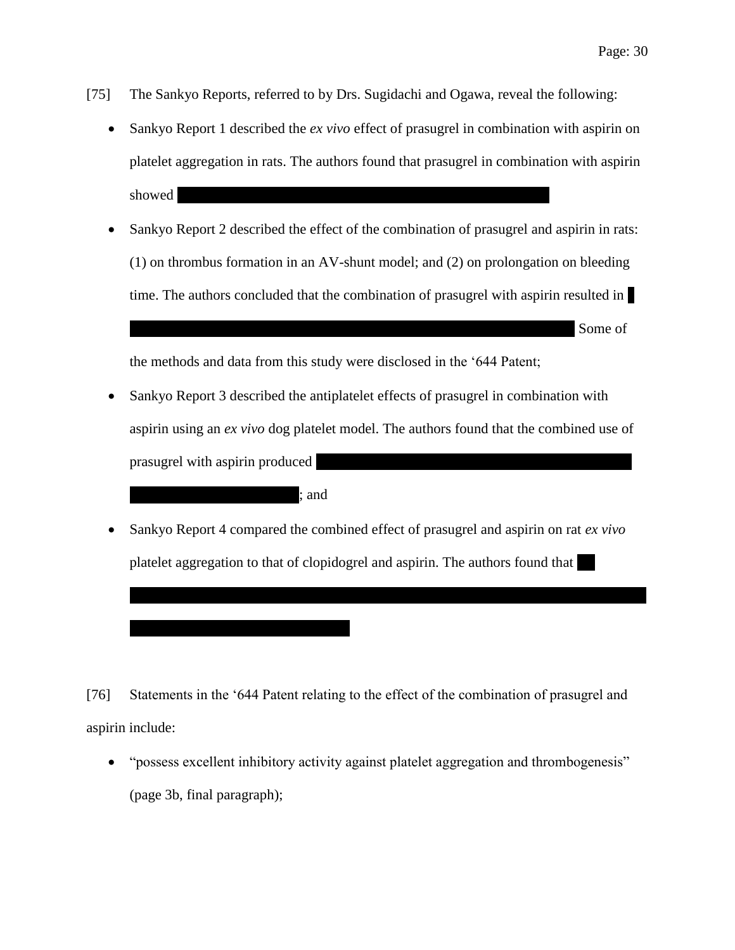- [75] The Sankyo Reports, referred to by Drs. Sugidachi and Ogawa, reveal the following:
	- Sankyo Report 1 described the *ex vivo* effect of prasugrel in combination with aspirin on platelet aggregation in rats. The authors found that prasugrel in combination with aspirin  $subwed$
	- Sankyo Report 2 described the effect of the combination of prasugrel and aspirin in rats: (1) on thrombus formation in an AV-shunt model; and (2) on prolongation on bleeding time. The authors concluded that the combination of prasugrel with aspirin resulted in |  $|$  Some of

the methods and data from this study were disclosed in the '644 Patent;

 $:$  and

- Sankyo Report 3 described the antiplatelet effects of prasugrel in combination with aspirin using an *ex vivo* dog platelet model. The authors found that the combined use of prasugrel with aspirin produced
- Sankyo Report 4 compared the combined effect of prasugrel and aspirin on rat *ex vivo*  platelet aggregation to that of clopidogrel and aspirin. The authors found that

[76] Statements in the '644 Patent relating to the effect of the combination of prasugrel and aspirin include:

 "possess excellent inhibitory activity against platelet aggregation and thrombogenesis" (page 3b, final paragraph);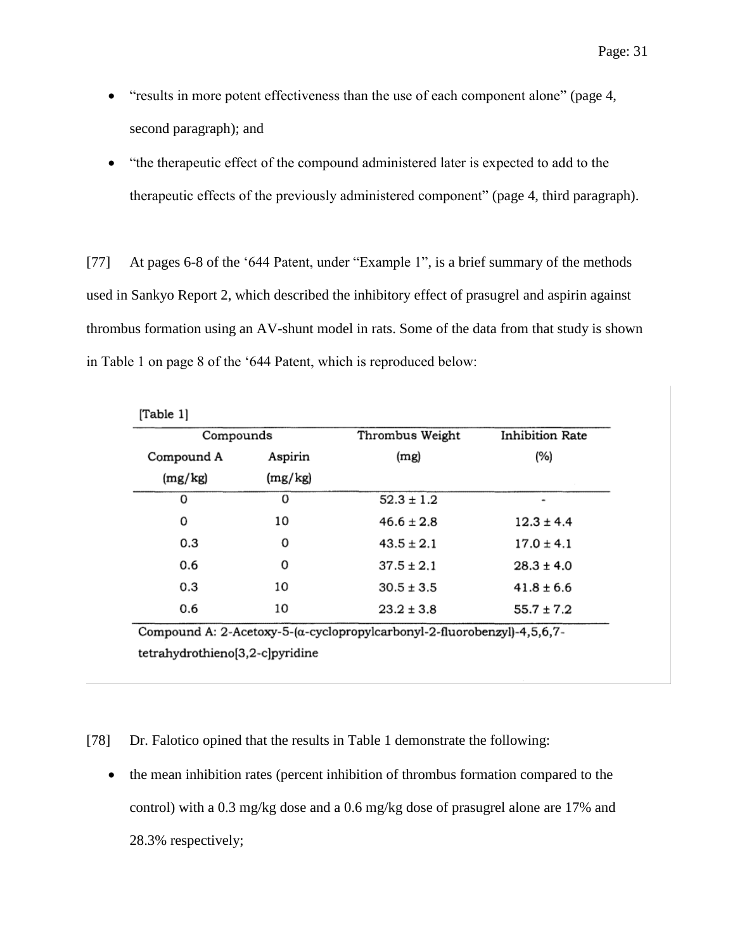- "results in more potent effectiveness than the use of each component alone" (page 4, second paragraph); and
- "the therapeutic effect of the compound administered later is expected to add to the therapeutic effects of the previously administered component" (page 4, third paragraph).

[77] At pages 6-8 of the '644 Patent, under "Example 1", is a brief summary of the methods used in Sankyo Report 2, which described the inhibitory effect of prasugrel and aspirin against thrombus formation using an AV-shunt model in rats. Some of the data from that study is shown in Table 1 on page 8 of the '644 Patent, which is reproduced below:

| [Table 1]  |         |                 |                        |  |  |  |
|------------|---------|-----------------|------------------------|--|--|--|
| Compounds  |         | Thrombus Weight | <b>Inhibition Rate</b> |  |  |  |
| Compound A | Aspirin | (mg)            | $(\%)$                 |  |  |  |
| (mg/kg)    | (mg/kg) |                 |                        |  |  |  |
| 0          | 0       | $52.3 \pm 1.2$  | ٠                      |  |  |  |
| 0          | 10      | $46.6 \pm 2.8$  | $12.3 \pm 4.4$         |  |  |  |
| 0.3        | 0       | $43.5 \pm 2.1$  | $17.0 \pm 4.1$         |  |  |  |
| 0.6        | 0       | $37.5 \pm 2.1$  | $28.3 \pm 4.0$         |  |  |  |
| 0.3        | 10      | $30.5 \pm 3.5$  | $41.8 \pm 6.6$         |  |  |  |
| 0.6        | 10      | $23.2 \pm 3.8$  | $55.7 \pm 7.2$         |  |  |  |

Compound A: 2-Acetoxy-5-(α-cyclopropylcarbonyl-2-fluorobenzyl)-4,5,6,7tetrahydrothieno[3,2-c]pyridine

[78] Dr. Falotico opined that the results in Table 1 demonstrate the following:

• the mean inhibition rates (percent inhibition of thrombus formation compared to the control) with a 0.3 mg/kg dose and a 0.6 mg/kg dose of prasugrel alone are 17% and 28.3% respectively;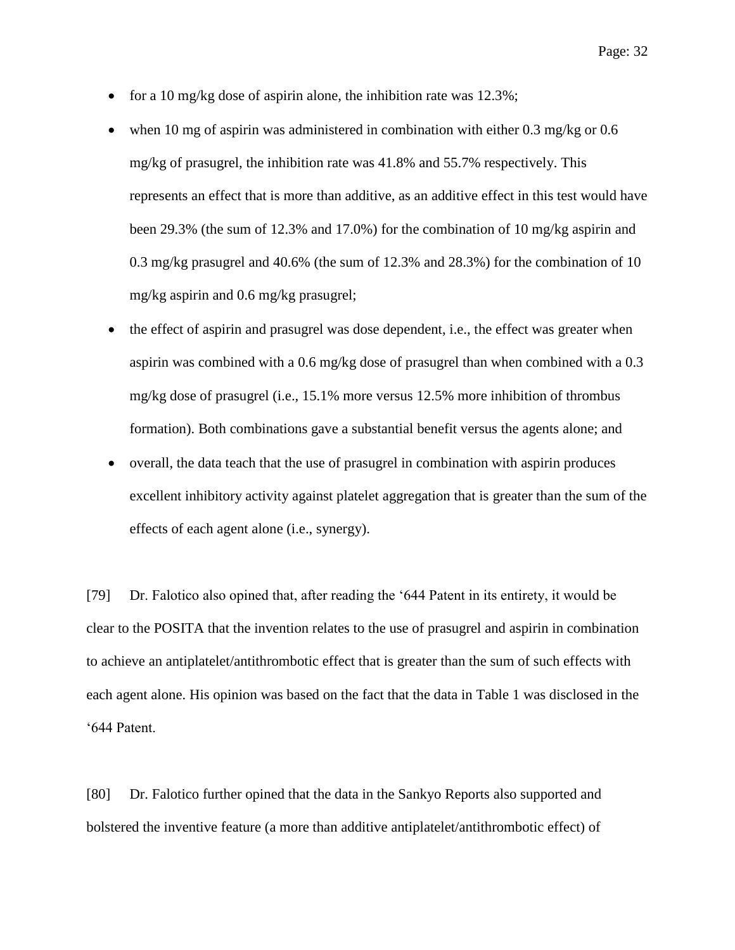- for a 10 mg/kg dose of aspirin alone, the inhibition rate was  $12.3\%$ ;
- when 10 mg of aspirin was administered in combination with either 0.3 mg/kg or 0.6 mg/kg of prasugrel, the inhibition rate was 41.8% and 55.7% respectively. This represents an effect that is more than additive, as an additive effect in this test would have been 29.3% (the sum of 12.3% and 17.0%) for the combination of 10 mg/kg aspirin and 0.3 mg/kg prasugrel and 40.6% (the sum of 12.3% and 28.3%) for the combination of 10 mg/kg aspirin and 0.6 mg/kg prasugrel;
- the effect of aspirin and prasugrel was dose dependent, i.e., the effect was greater when aspirin was combined with a 0.6 mg/kg dose of prasugrel than when combined with a 0.3 mg/kg dose of prasugrel (i.e., 15.1% more versus 12.5% more inhibition of thrombus formation). Both combinations gave a substantial benefit versus the agents alone; and
- overall, the data teach that the use of prasugrel in combination with aspirin produces excellent inhibitory activity against platelet aggregation that is greater than the sum of the effects of each agent alone (i.e., synergy).

[79] Dr. Falotico also opined that, after reading the '644 Patent in its entirety, it would be clear to the POSITA that the invention relates to the use of prasugrel and aspirin in combination to achieve an antiplatelet/antithrombotic effect that is greater than the sum of such effects with each agent alone. His opinion was based on the fact that the data in Table 1 was disclosed in the '644 Patent.

[80] Dr. Falotico further opined that the data in the Sankyo Reports also supported and bolstered the inventive feature (a more than additive antiplatelet/antithrombotic effect) of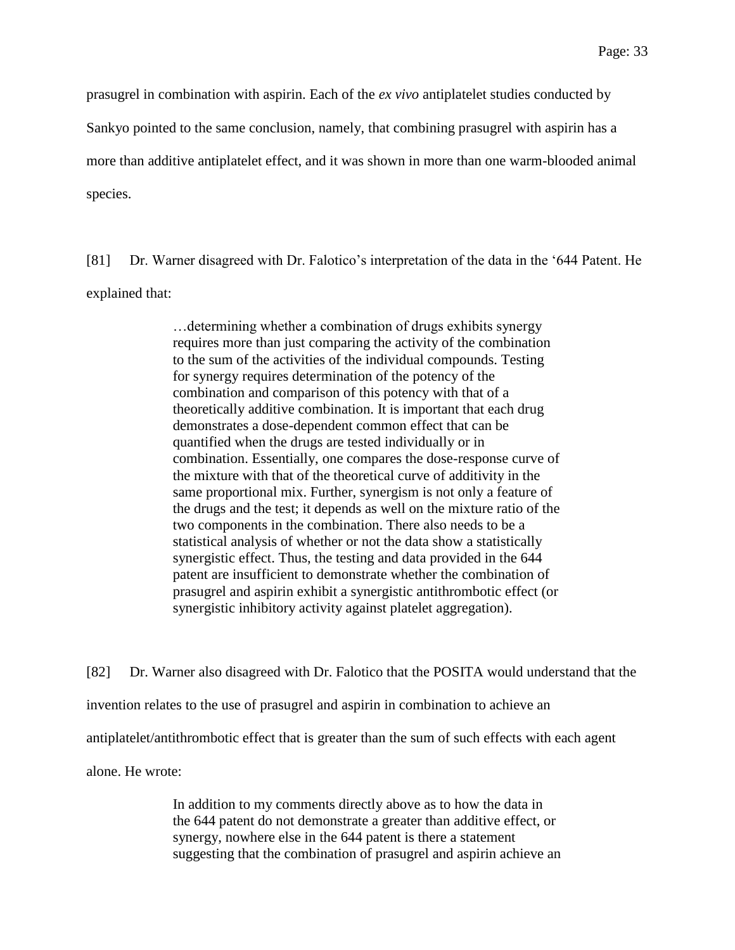prasugrel in combination with aspirin. Each of the *ex vivo* antiplatelet studies conducted by

Sankyo pointed to the same conclusion, namely, that combining prasugrel with aspirin has a

more than additive antiplatelet effect, and it was shown in more than one warm-blooded animal

species.

[81] Dr. Warner disagreed with Dr. Falotico's interpretation of the data in the '644 Patent. He explained that:

> …determining whether a combination of drugs exhibits synergy requires more than just comparing the activity of the combination to the sum of the activities of the individual compounds. Testing for synergy requires determination of the potency of the combination and comparison of this potency with that of a theoretically additive combination. It is important that each drug demonstrates a dose-dependent common effect that can be quantified when the drugs are tested individually or in combination. Essentially, one compares the dose-response curve of the mixture with that of the theoretical curve of additivity in the same proportional mix. Further, synergism is not only a feature of the drugs and the test; it depends as well on the mixture ratio of the two components in the combination. There also needs to be a statistical analysis of whether or not the data show a statistically synergistic effect. Thus, the testing and data provided in the 644 patent are insufficient to demonstrate whether the combination of prasugrel and aspirin exhibit a synergistic antithrombotic effect (or synergistic inhibitory activity against platelet aggregation).

[82] Dr. Warner also disagreed with Dr. Falotico that the POSITA would understand that the invention relates to the use of prasugrel and aspirin in combination to achieve an antiplatelet/antithrombotic effect that is greater than the sum of such effects with each agent alone. He wrote:

> In addition to my comments directly above as to how the data in the 644 patent do not demonstrate a greater than additive effect, or synergy, nowhere else in the 644 patent is there a statement suggesting that the combination of prasugrel and aspirin achieve an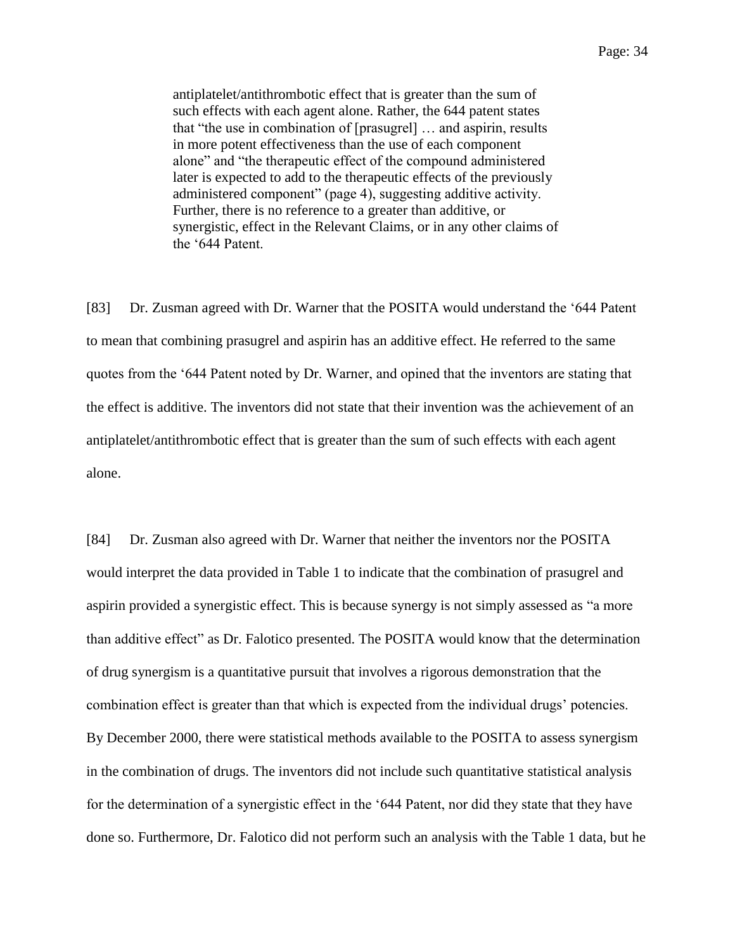antiplatelet/antithrombotic effect that is greater than the sum of such effects with each agent alone. Rather, the 644 patent states that "the use in combination of [prasugrel] … and aspirin, results in more potent effectiveness than the use of each component alone" and "the therapeutic effect of the compound administered later is expected to add to the therapeutic effects of the previously administered component" (page 4), suggesting additive activity. Further, there is no reference to a greater than additive, or synergistic, effect in the Relevant Claims, or in any other claims of the '644 Patent.

[83] Dr. Zusman agreed with Dr. Warner that the POSITA would understand the '644 Patent to mean that combining prasugrel and aspirin has an additive effect. He referred to the same quotes from the '644 Patent noted by Dr. Warner, and opined that the inventors are stating that the effect is additive. The inventors did not state that their invention was the achievement of an antiplatelet/antithrombotic effect that is greater than the sum of such effects with each agent alone.

[84] Dr. Zusman also agreed with Dr. Warner that neither the inventors nor the POSITA would interpret the data provided in Table 1 to indicate that the combination of prasugrel and aspirin provided a synergistic effect. This is because synergy is not simply assessed as "a more than additive effect" as Dr. Falotico presented. The POSITA would know that the determination of drug synergism is a quantitative pursuit that involves a rigorous demonstration that the combination effect is greater than that which is expected from the individual drugs' potencies. By December 2000, there were statistical methods available to the POSITA to assess synergism in the combination of drugs. The inventors did not include such quantitative statistical analysis for the determination of a synergistic effect in the '644 Patent, nor did they state that they have done so. Furthermore, Dr. Falotico did not perform such an analysis with the Table 1 data, but he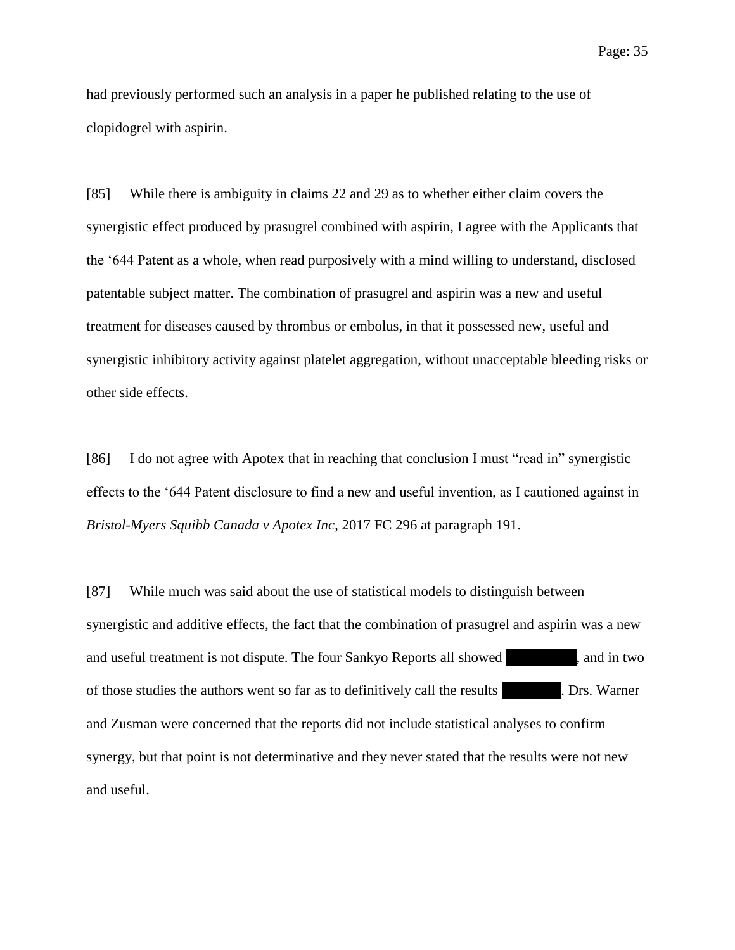had previously performed such an analysis in a paper he published relating to the use of clopidogrel with aspirin.

[85] While there is ambiguity in claims 22 and 29 as to whether either claim covers the synergistic effect produced by prasugrel combined with aspirin, I agree with the Applicants that the '644 Patent as a whole, when read purposively with a mind willing to understand, disclosed patentable subject matter. The combination of prasugrel and aspirin was a new and useful treatment for diseases caused by thrombus or embolus, in that it possessed new, useful and synergistic inhibitory activity against platelet aggregation, without unacceptable bleeding risks or other side effects.

[86] I do not agree with Apotex that in reaching that conclusion I must "read in" synergistic effects to the '644 Patent disclosure to find a new and useful invention, as I cautioned against in *Bristol-Myers Squibb Canada v Apotex Inc*, 2017 FC 296 at paragraph 191.

[87] While much was said about the use of statistical models to distinguish between synergistic and additive effects, the fact that the combination of prasugrel and aspirin was a new and useful treatment is not dispute. The four Sankyo Reports all showed same show that in two of those studies the authors went so far as to definitively call the results . Drs. Warner and Zusman were concerned that the reports did not include statistical analyses to confirm synergy, but that point is not determinative and they never stated that the results were not new and useful.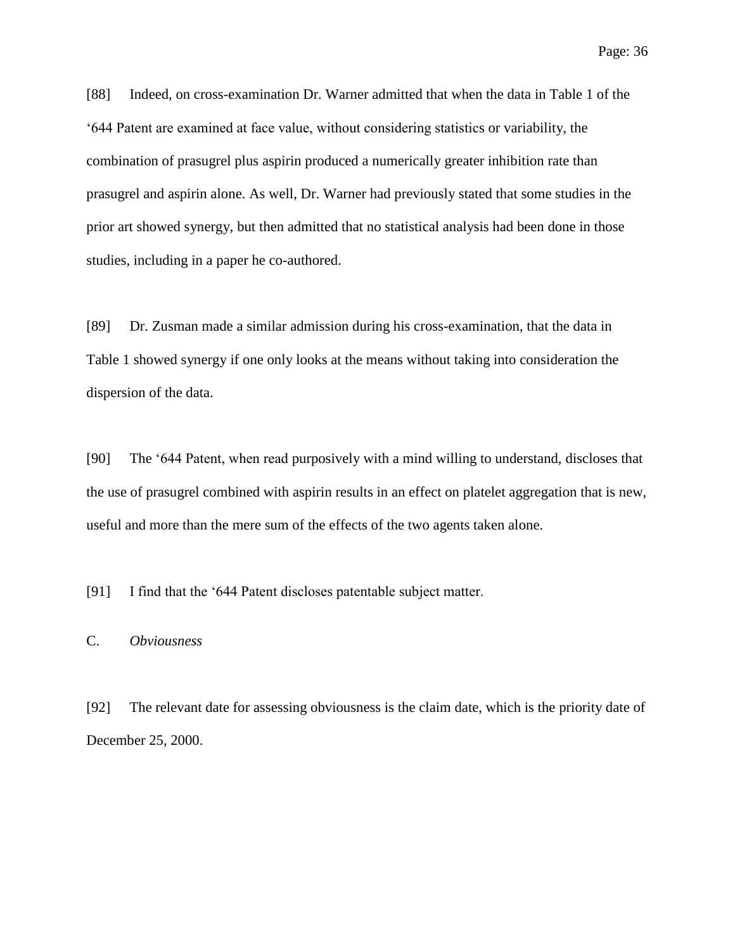[88] Indeed, on cross-examination Dr. Warner admitted that when the data in Table 1 of the '644 Patent are examined at face value, without considering statistics or variability, the combination of prasugrel plus aspirin produced a numerically greater inhibition rate than prasugrel and aspirin alone. As well, Dr. Warner had previously stated that some studies in the prior art showed synergy, but then admitted that no statistical analysis had been done in those studies, including in a paper he co-authored.

[89] Dr. Zusman made a similar admission during his cross-examination, that the data in Table 1 showed synergy if one only looks at the means without taking into consideration the dispersion of the data.

[90] The '644 Patent, when read purposively with a mind willing to understand, discloses that the use of prasugrel combined with aspirin results in an effect on platelet aggregation that is new, useful and more than the mere sum of the effects of the two agents taken alone.

[91] I find that the '644 Patent discloses patentable subject matter.

# <span id="page-35-0"></span>C. *Obviousness*

[92] The relevant date for assessing obviousness is the claim date, which is the priority date of December 25, 2000.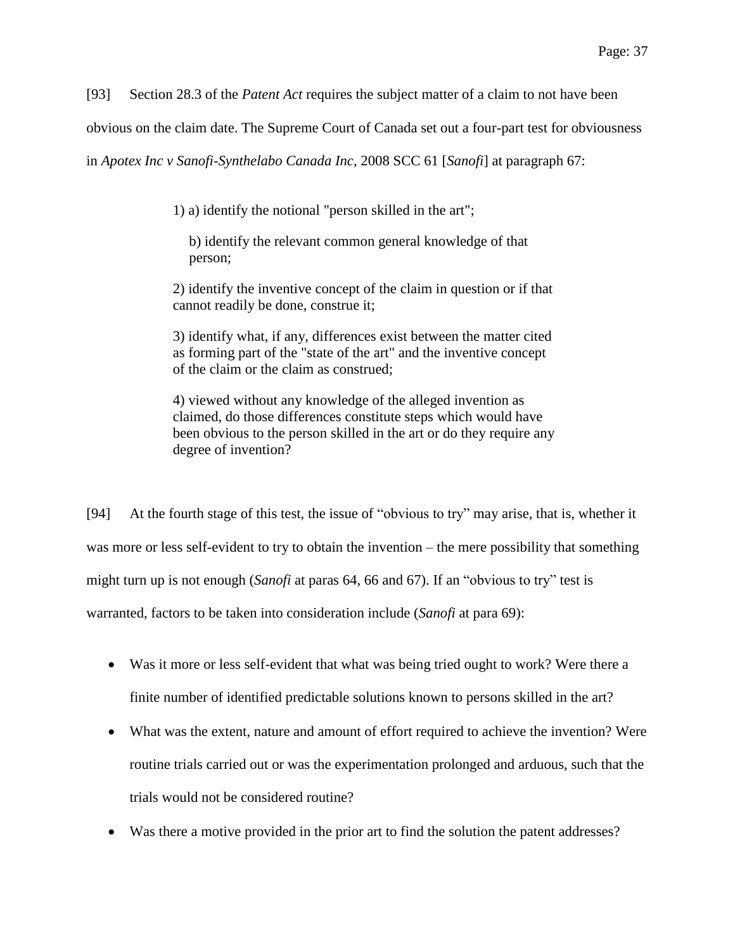[93] Section 28.3 of the *Patent Act* requires the subject matter of a claim to not have been

obvious on the claim date. The Supreme Court of Canada set out a four-part test for obviousness

in *Apotex Inc v Sanofi-Synthelabo Canada Inc*, 2008 SCC 61 [*Sanofi*] at paragraph 67:

1) a) identify the notional "person skilled in the art";

b) identify the relevant common general knowledge of that person;

2) identify the inventive concept of the claim in question or if that cannot readily be done, construe it;

3) identify what, if any, differences exist between the matter cited as forming part of the "state of the art" and the inventive concept of the claim or the claim as construed;

4) viewed without any knowledge of the alleged invention as claimed, do those differences constitute steps which would have been obvious to the person skilled in the art or do they require any degree of invention?

[94] At the fourth stage of this test, the issue of "obvious to try" may arise, that is, whether it was more or less self-evident to try to obtain the invention – the mere possibility that something might turn up is not enough (*Sanofi* at paras 64, 66 and 67). If an "obvious to try" test is warranted, factors to be taken into consideration include (*Sanofi* at para 69):

- Was it more or less self-evident that what was being tried ought to work? Were there a finite number of identified predictable solutions known to persons skilled in the art?
- What was the extent, nature and amount of effort required to achieve the invention? Were routine trials carried out or was the experimentation prolonged and arduous, such that the trials would not be considered routine?
- Was there a motive provided in the prior art to find the solution the patent addresses?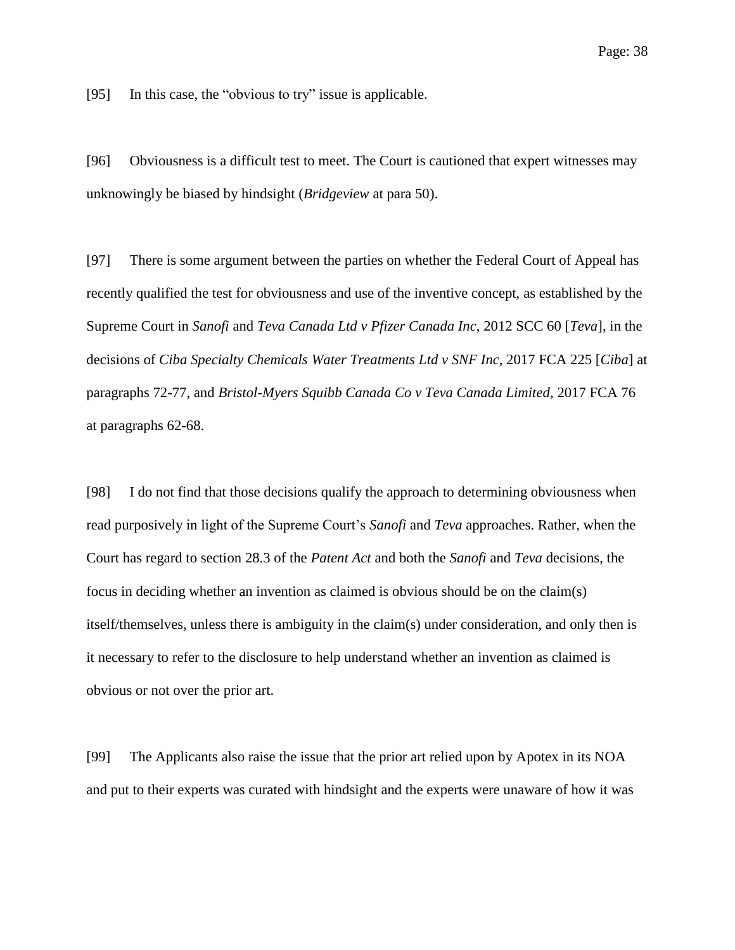[95] In this case, the "obvious to try" issue is applicable.

[96] Obviousness is a difficult test to meet. The Court is cautioned that expert witnesses may unknowingly be biased by hindsight (*Bridgeview* at para 50).

[97] There is some argument between the parties on whether the Federal Court of Appeal has recently qualified the test for obviousness and use of the inventive concept, as established by the Supreme Court in *Sanofi* and *Teva Canada Ltd v Pfizer Canada Inc*, 2012 SCC 60 [*Teva*], in the decisions of *Ciba Specialty Chemicals Water Treatments Ltd v SNF Inc*, 2017 FCA 225 [*Ciba*] at paragraphs 72-77, and *Bristol-Myers Squibb Canada Co v Teva Canada Limited*, 2017 FCA 76 at paragraphs 62-68.

[98] I do not find that those decisions qualify the approach to determining obviousness when read purposively in light of the Supreme Court's *Sanofi* and *Teva* approaches. Rather, when the Court has regard to section 28.3 of the *Patent Act* and both the *Sanofi* and *Teva* decisions, the focus in deciding whether an invention as claimed is obvious should be on the claim(s) itself/themselves, unless there is ambiguity in the claim(s) under consideration, and only then is it necessary to refer to the disclosure to help understand whether an invention as claimed is obvious or not over the prior art.

[99] The Applicants also raise the issue that the prior art relied upon by Apotex in its NOA and put to their experts was curated with hindsight and the experts were unaware of how it was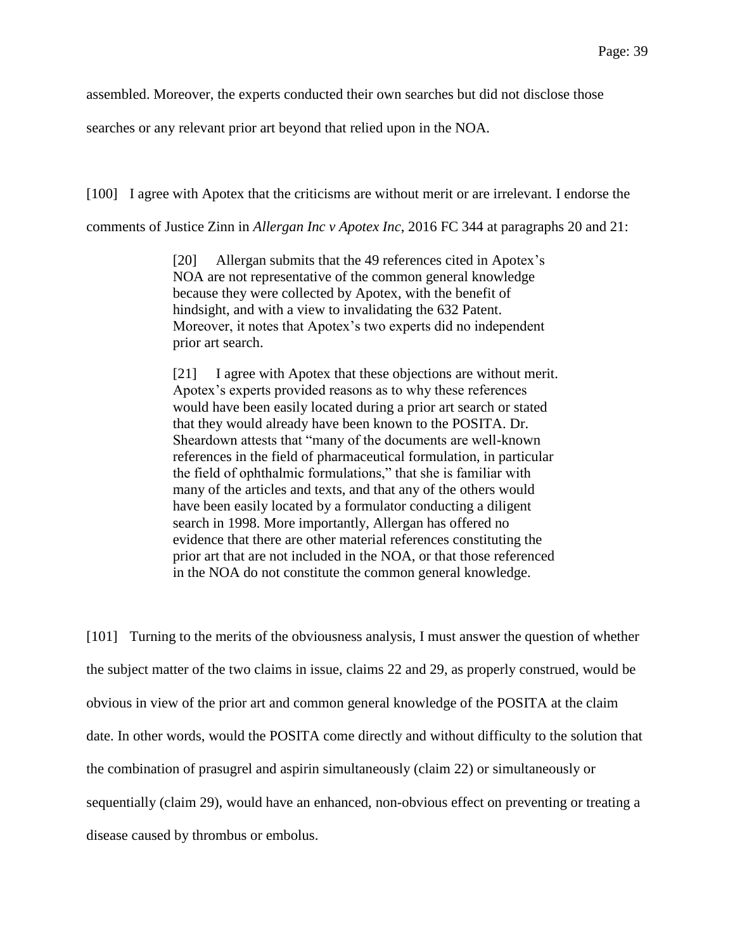assembled. Moreover, the experts conducted their own searches but did not disclose those

searches or any relevant prior art beyond that relied upon in the NOA.

[100] I agree with Apotex that the criticisms are without merit or are irrelevant. I endorse the

comments of Justice Zinn in *Allergan Inc v Apotex Inc*, 2016 FC 344 at paragraphs 20 and 21:

[20] Allergan submits that the 49 references cited in Apotex's NOA are not representative of the common general knowledge because they were collected by Apotex, with the benefit of hindsight, and with a view to invalidating the 632 Patent. Moreover, it notes that Apotex's two experts did no independent prior art search.

[21] I agree with Apotex that these objections are without merit. Apotex's experts provided reasons as to why these references would have been easily located during a prior art search or stated that they would already have been known to the POSITA. Dr. Sheardown attests that "many of the documents are well-known references in the field of pharmaceutical formulation, in particular the field of ophthalmic formulations," that she is familiar with many of the articles and texts, and that any of the others would have been easily located by a formulator conducting a diligent search in 1998. More importantly, Allergan has offered no evidence that there are other material references constituting the prior art that are not included in the NOA, or that those referenced in the NOA do not constitute the common general knowledge.

[101] Turning to the merits of the obviousness analysis, I must answer the question of whether the subject matter of the two claims in issue, claims 22 and 29, as properly construed, would be obvious in view of the prior art and common general knowledge of the POSITA at the claim date. In other words, would the POSITA come directly and without difficulty to the solution that the combination of prasugrel and aspirin simultaneously (claim 22) or simultaneously or sequentially (claim 29), would have an enhanced, non-obvious effect on preventing or treating a disease caused by thrombus or embolus.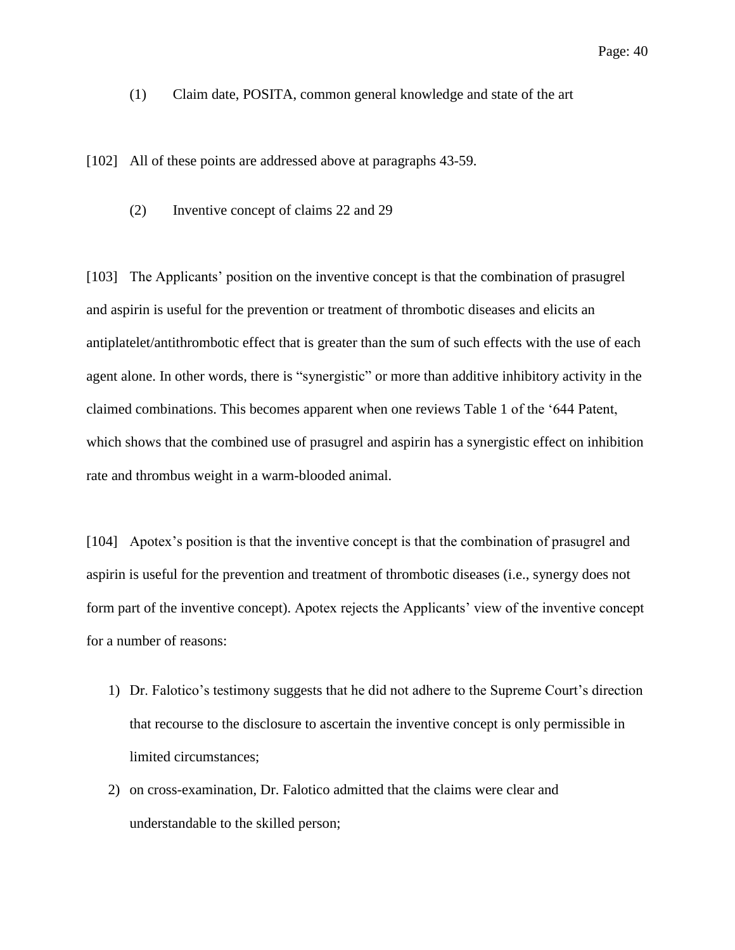<span id="page-39-0"></span>(1) Claim date, POSITA, common general knowledge and state of the art

<span id="page-39-1"></span>[102] All of these points are addressed above at paragraphs 43-59.

(2) Inventive concept of claims 22 and 29

[103] The Applicants' position on the inventive concept is that the combination of prasugrel and aspirin is useful for the prevention or treatment of thrombotic diseases and elicits an antiplatelet/antithrombotic effect that is greater than the sum of such effects with the use of each agent alone. In other words, there is "synergistic" or more than additive inhibitory activity in the claimed combinations. This becomes apparent when one reviews Table 1 of the '644 Patent, which shows that the combined use of prasugrel and aspirin has a synergistic effect on inhibition rate and thrombus weight in a warm-blooded animal.

[104] Apotex's position is that the inventive concept is that the combination of prasugrel and aspirin is useful for the prevention and treatment of thrombotic diseases (i.e., synergy does not form part of the inventive concept). Apotex rejects the Applicants' view of the inventive concept for a number of reasons:

- 1) Dr. Falotico's testimony suggests that he did not adhere to the Supreme Court's direction that recourse to the disclosure to ascertain the inventive concept is only permissible in limited circumstances;
- 2) on cross-examination, Dr. Falotico admitted that the claims were clear and understandable to the skilled person;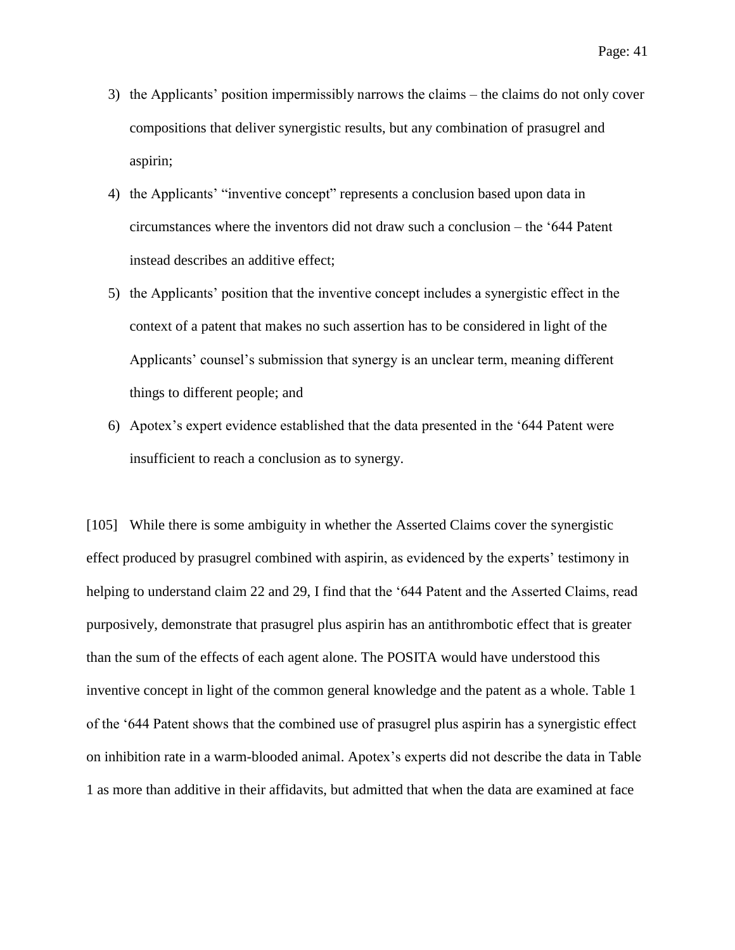- 3) the Applicants' position impermissibly narrows the claims the claims do not only cover compositions that deliver synergistic results, but any combination of prasugrel and aspirin;
- 4) the Applicants' "inventive concept" represents a conclusion based upon data in circumstances where the inventors did not draw such a conclusion – the '644 Patent instead describes an additive effect;
- 5) the Applicants' position that the inventive concept includes a synergistic effect in the context of a patent that makes no such assertion has to be considered in light of the Applicants' counsel's submission that synergy is an unclear term, meaning different things to different people; and
- 6) Apotex's expert evidence established that the data presented in the '644 Patent were insufficient to reach a conclusion as to synergy.

[105] While there is some ambiguity in whether the Asserted Claims cover the synergistic effect produced by prasugrel combined with aspirin, as evidenced by the experts' testimony in helping to understand claim 22 and 29, I find that the '644 Patent and the Asserted Claims, read purposively, demonstrate that prasugrel plus aspirin has an antithrombotic effect that is greater than the sum of the effects of each agent alone. The POSITA would have understood this inventive concept in light of the common general knowledge and the patent as a whole. Table 1 of the '644 Patent shows that the combined use of prasugrel plus aspirin has a synergistic effect on inhibition rate in a warm-blooded animal. Apotex's experts did not describe the data in Table 1 as more than additive in their affidavits, but admitted that when the data are examined at face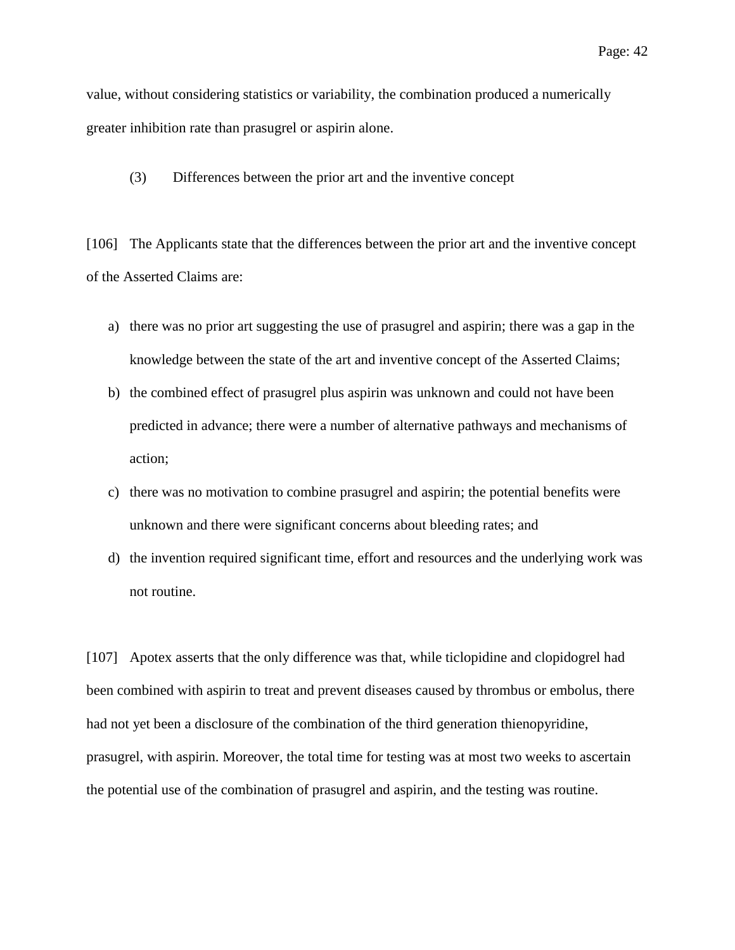value, without considering statistics or variability, the combination produced a numerically greater inhibition rate than prasugrel or aspirin alone.

<span id="page-41-0"></span>(3) Differences between the prior art and the inventive concept

[106] The Applicants state that the differences between the prior art and the inventive concept of the Asserted Claims are:

- a) there was no prior art suggesting the use of prasugrel and aspirin; there was a gap in the knowledge between the state of the art and inventive concept of the Asserted Claims;
- b) the combined effect of prasugrel plus aspirin was unknown and could not have been predicted in advance; there were a number of alternative pathways and mechanisms of action;
- c) there was no motivation to combine prasugrel and aspirin; the potential benefits were unknown and there were significant concerns about bleeding rates; and
- d) the invention required significant time, effort and resources and the underlying work was not routine.

[107] Apotex asserts that the only difference was that, while ticlopidine and clopidogrel had been combined with aspirin to treat and prevent diseases caused by thrombus or embolus, there had not yet been a disclosure of the combination of the third generation thienopyridine, prasugrel, with aspirin. Moreover, the total time for testing was at most two weeks to ascertain the potential use of the combination of prasugrel and aspirin, and the testing was routine.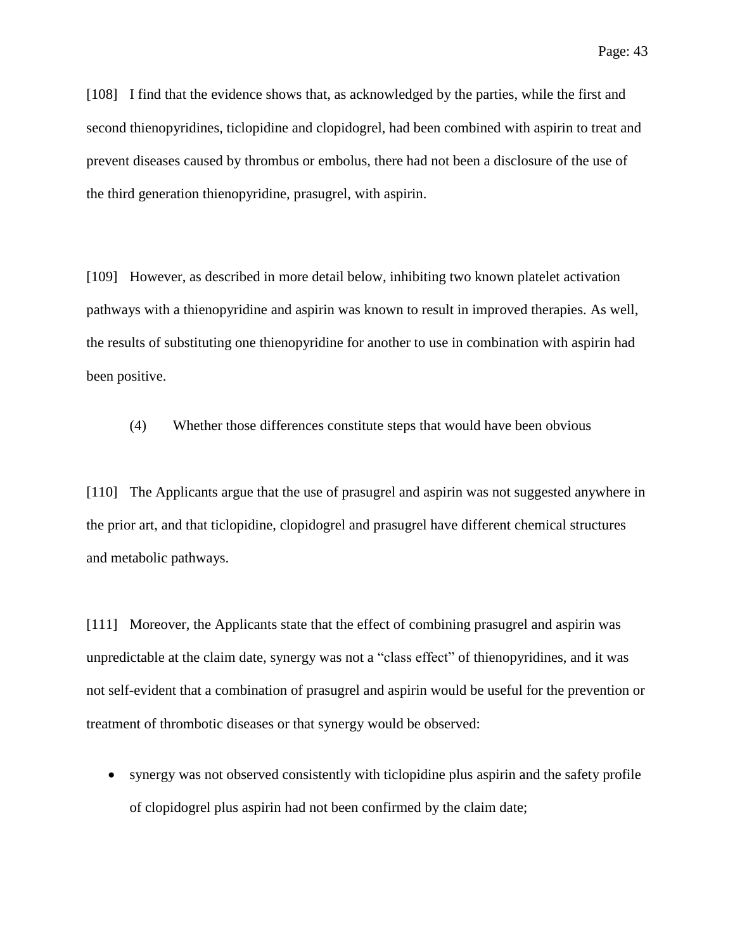[108] I find that the evidence shows that, as acknowledged by the parties, while the first and second thienopyridines, ticlopidine and clopidogrel, had been combined with aspirin to treat and prevent diseases caused by thrombus or embolus, there had not been a disclosure of the use of the third generation thienopyridine, prasugrel, with aspirin.

[109] However, as described in more detail below, inhibiting two known platelet activation pathways with a thienopyridine and aspirin was known to result in improved therapies. As well, the results of substituting one thienopyridine for another to use in combination with aspirin had been positive.

<span id="page-42-0"></span>(4) Whether those differences constitute steps that would have been obvious

[110] The Applicants argue that the use of prasugrel and aspirin was not suggested anywhere in the prior art, and that ticlopidine, clopidogrel and prasugrel have different chemical structures and metabolic pathways.

[111] Moreover, the Applicants state that the effect of combining prasugrel and aspirin was unpredictable at the claim date, synergy was not a "class effect" of thienopyridines, and it was not self-evident that a combination of prasugrel and aspirin would be useful for the prevention or treatment of thrombotic diseases or that synergy would be observed:

 synergy was not observed consistently with ticlopidine plus aspirin and the safety profile of clopidogrel plus aspirin had not been confirmed by the claim date;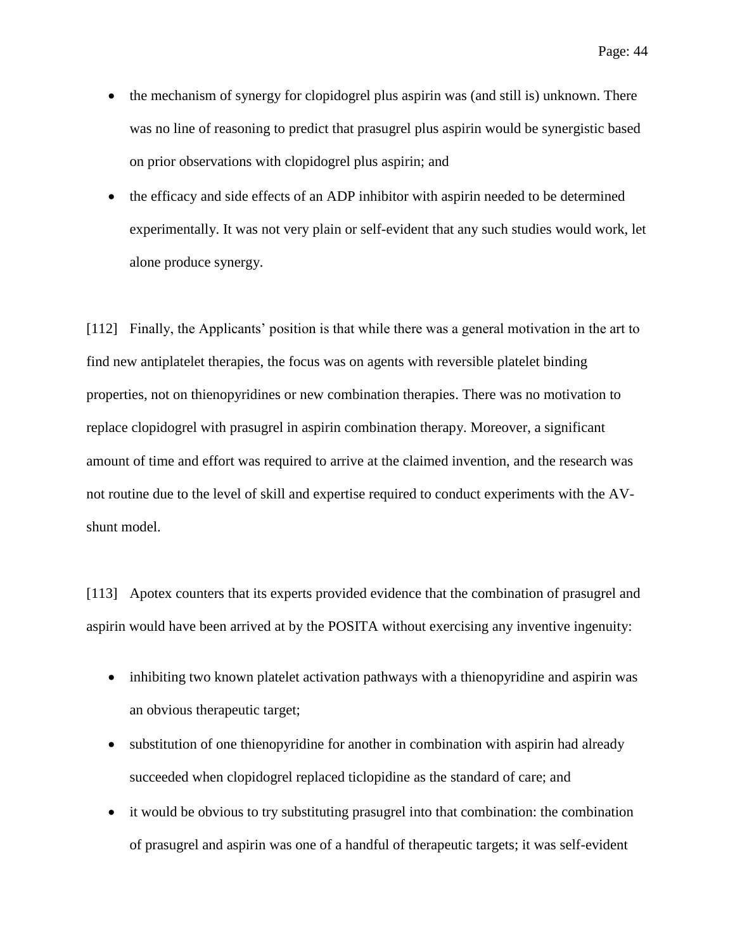- the mechanism of synergy for clopidogrel plus aspirin was (and still is) unknown. There was no line of reasoning to predict that prasugrel plus aspirin would be synergistic based on prior observations with clopidogrel plus aspirin; and
- the efficacy and side effects of an ADP inhibitor with aspirin needed to be determined experimentally. It was not very plain or self-evident that any such studies would work, let alone produce synergy.

[112] Finally, the Applicants' position is that while there was a general motivation in the art to find new antiplatelet therapies, the focus was on agents with reversible platelet binding properties, not on thienopyridines or new combination therapies. There was no motivation to replace clopidogrel with prasugrel in aspirin combination therapy. Moreover, a significant amount of time and effort was required to arrive at the claimed invention, and the research was not routine due to the level of skill and expertise required to conduct experiments with the AVshunt model.

[113] Apotex counters that its experts provided evidence that the combination of prasugrel and aspirin would have been arrived at by the POSITA without exercising any inventive ingenuity:

- inhibiting two known platelet activation pathways with a thienopyridine and aspirin was an obvious therapeutic target;
- substitution of one thienopyridine for another in combination with aspirin had already succeeded when clopidogrel replaced ticlopidine as the standard of care; and
- it would be obvious to try substituting prasugrel into that combination: the combination of prasugrel and aspirin was one of a handful of therapeutic targets; it was self-evident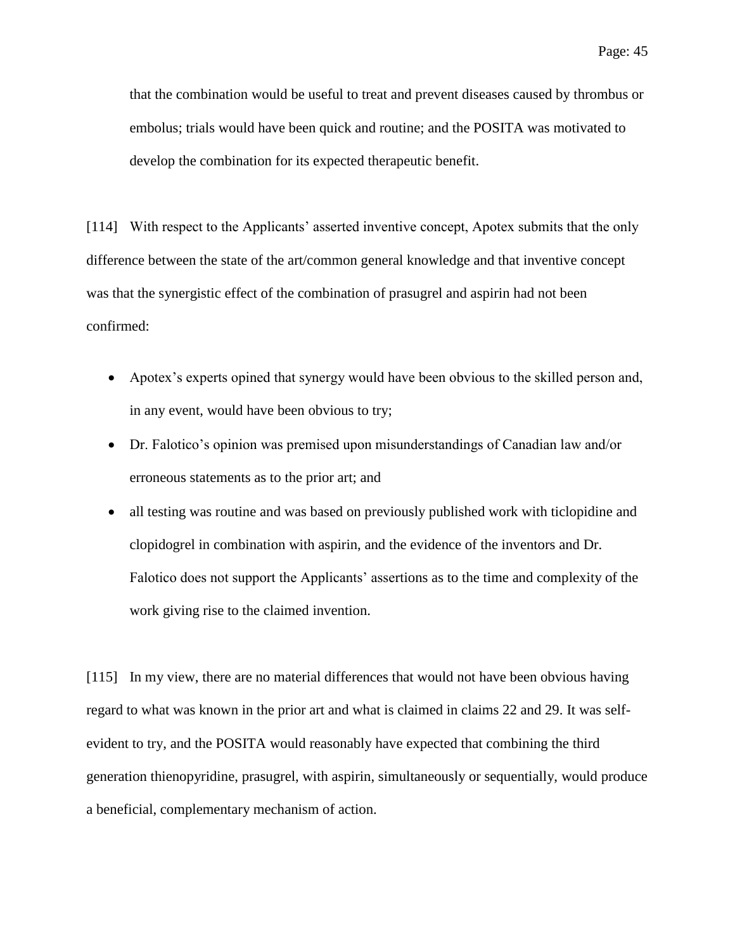that the combination would be useful to treat and prevent diseases caused by thrombus or embolus; trials would have been quick and routine; and the POSITA was motivated to develop the combination for its expected therapeutic benefit.

[114] With respect to the Applicants' asserted inventive concept, Apotex submits that the only difference between the state of the art/common general knowledge and that inventive concept was that the synergistic effect of the combination of prasugrel and aspirin had not been confirmed:

- Apotex's experts opined that synergy would have been obvious to the skilled person and, in any event, would have been obvious to try;
- Dr. Falotico's opinion was premised upon misunderstandings of Canadian law and/or erroneous statements as to the prior art; and
- all testing was routine and was based on previously published work with ticlopidine and clopidogrel in combination with aspirin, and the evidence of the inventors and Dr. Falotico does not support the Applicants' assertions as to the time and complexity of the work giving rise to the claimed invention.

[115] In my view, there are no material differences that would not have been obvious having regard to what was known in the prior art and what is claimed in claims 22 and 29. It was selfevident to try, and the POSITA would reasonably have expected that combining the third generation thienopyridine, prasugrel, with aspirin, simultaneously or sequentially, would produce a beneficial, complementary mechanism of action.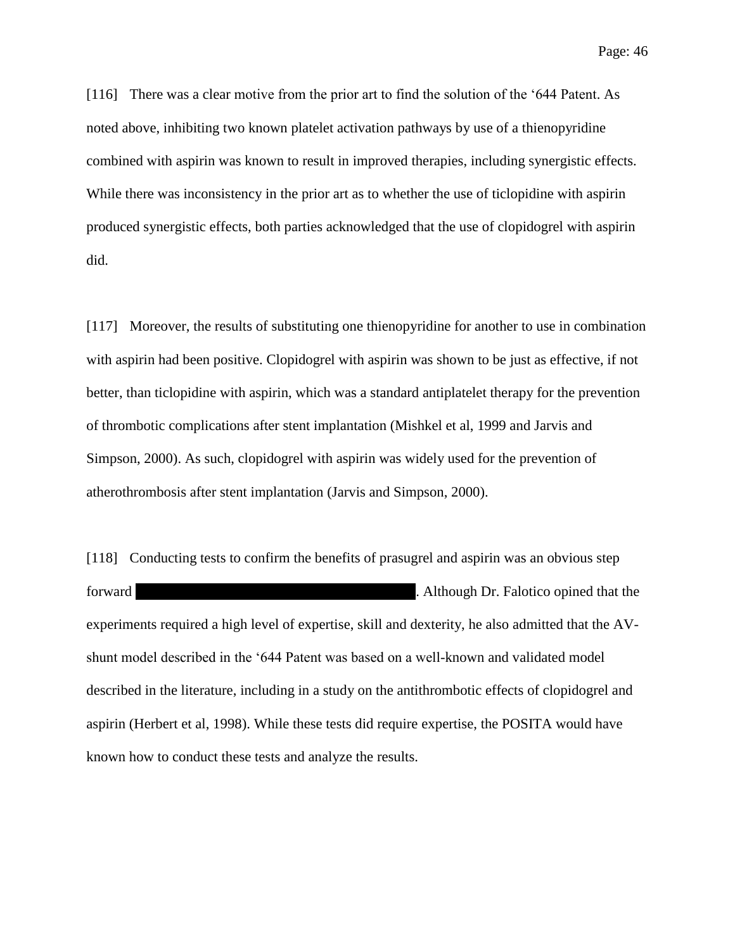[116] There was a clear motive from the prior art to find the solution of the '644 Patent. As noted above, inhibiting two known platelet activation pathways by use of a thienopyridine combined with aspirin was known to result in improved therapies, including synergistic effects. While there was inconsistency in the prior art as to whether the use of ticlopidine with aspirin produced synergistic effects, both parties acknowledged that the use of clopidogrel with aspirin did.

[117] Moreover, the results of substituting one thienopyridine for another to use in combination with aspirin had been positive. Clopidogrel with aspirin was shown to be just as effective, if not better, than ticlopidine with aspirin, which was a standard antiplatelet therapy for the prevention of thrombotic complications after stent implantation (Mishkel et al, 1999 and Jarvis and Simpson, 2000). As such, clopidogrel with aspirin was widely used for the prevention of atherothrombosis after stent implantation (Jarvis and Simpson, 2000).

[118] Conducting tests to confirm the benefits of prasugrel and aspirin was an obvious step forward ||||||||||||||||||||||||||||||||||||||||||||||||||||||||||||||||||||||||||||||||||||||||||||||||||||. Although Dr. Falotico opined that the experiments required a high level of expertise, skill and dexterity, he also admitted that the AVshunt model described in the '644 Patent was based on a well-known and validated model described in the literature, including in a study on the antithrombotic effects of clopidogrel and aspirin (Herbert et al, 1998). While these tests did require expertise, the POSITA would have known how to conduct these tests and analyze the results.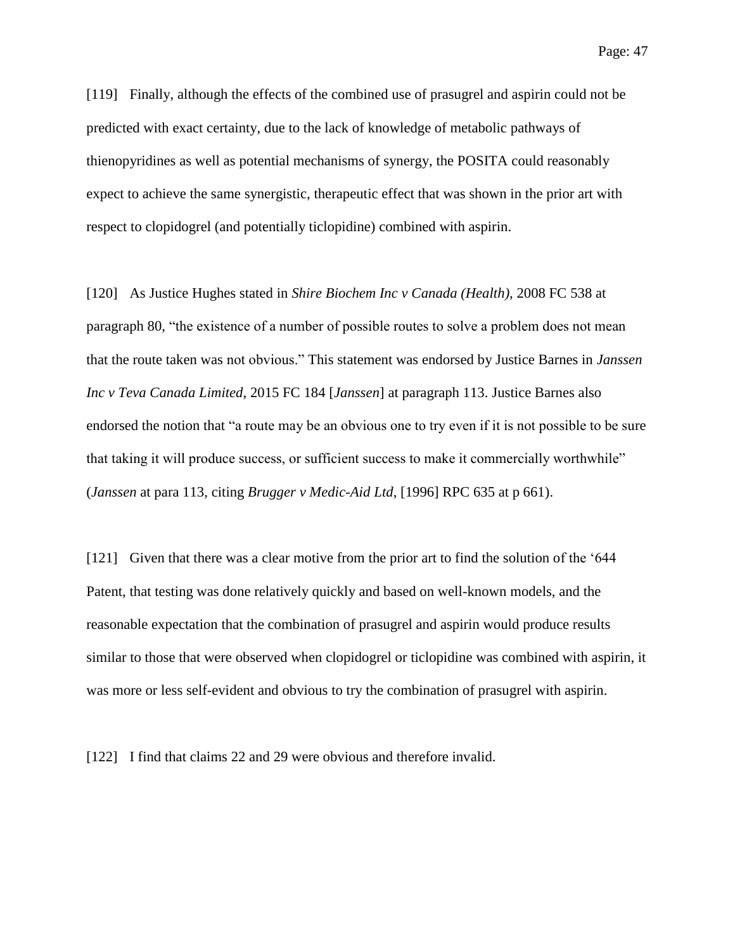[119] Finally, although the effects of the combined use of prasugrel and aspirin could not be predicted with exact certainty, due to the lack of knowledge of metabolic pathways of thienopyridines as well as potential mechanisms of synergy, the POSITA could reasonably expect to achieve the same synergistic, therapeutic effect that was shown in the prior art with respect to clopidogrel (and potentially ticlopidine) combined with aspirin.

[120] As Justice Hughes stated in *Shire Biochem Inc v Canada (Health)*, 2008 FC 538 at paragraph 80, "the existence of a number of possible routes to solve a problem does not mean that the route taken was not obvious." This statement was endorsed by Justice Barnes in *Janssen Inc v Teva Canada Limited*, 2015 FC 184 [*Janssen*] at paragraph 113. Justice Barnes also endorsed the notion that "a route may be an obvious one to try even if it is not possible to be sure that taking it will produce success, or sufficient success to make it commercially worthwhile" (*Janssen* at para 113, citing *Brugger v Medic-Aid Ltd*, [1996] RPC 635 at p 661).

[121] Given that there was a clear motive from the prior art to find the solution of the '644 Patent, that testing was done relatively quickly and based on well-known models, and the reasonable expectation that the combination of prasugrel and aspirin would produce results similar to those that were observed when clopidogrel or ticlopidine was combined with aspirin, it was more or less self-evident and obvious to try the combination of prasugrel with aspirin.

[122] I find that claims 22 and 29 were obvious and therefore invalid.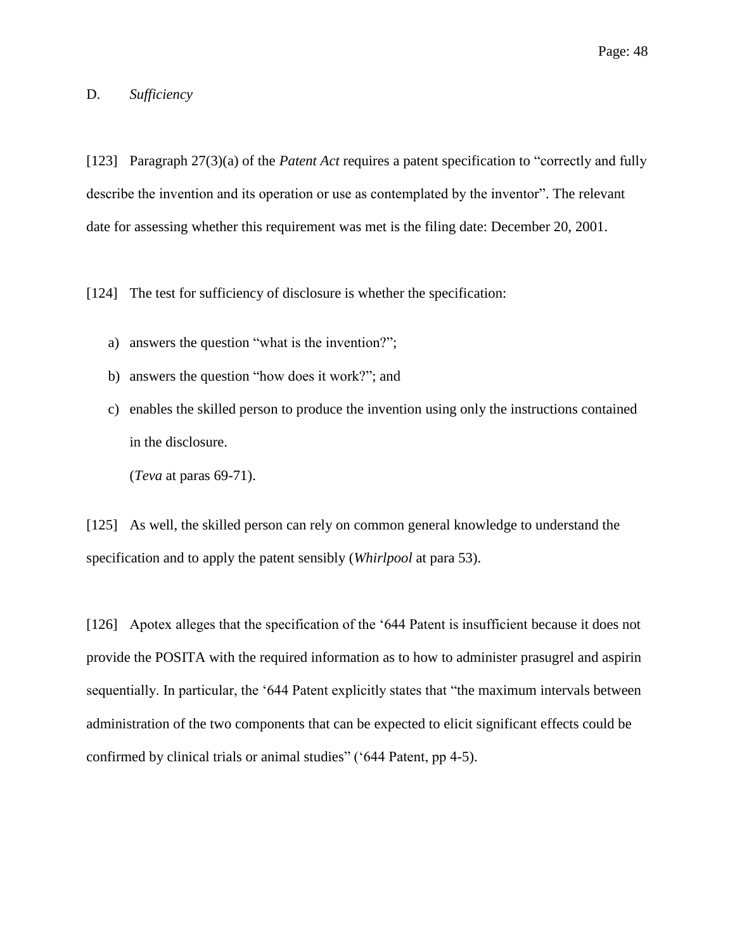# <span id="page-47-0"></span>D. *Sufficiency*

[123] Paragraph 27(3)(a) of the *Patent Act* requires a patent specification to "correctly and fully describe the invention and its operation or use as contemplated by the inventor". The relevant date for assessing whether this requirement was met is the filing date: December 20, 2001.

[124] The test for sufficiency of disclosure is whether the specification:

- a) answers the question "what is the invention?";
- b) answers the question "how does it work?"; and
- c) enables the skilled person to produce the invention using only the instructions contained in the disclosure.

(*Teva* at paras 69-71).

[125] As well, the skilled person can rely on common general knowledge to understand the specification and to apply the patent sensibly (*Whirlpool* at para 53).

[126] Apotex alleges that the specification of the '644 Patent is insufficient because it does not provide the POSITA with the required information as to how to administer prasugrel and aspirin sequentially. In particular, the '644 Patent explicitly states that "the maximum intervals between administration of the two components that can be expected to elicit significant effects could be confirmed by clinical trials or animal studies" ('644 Patent, pp 4-5).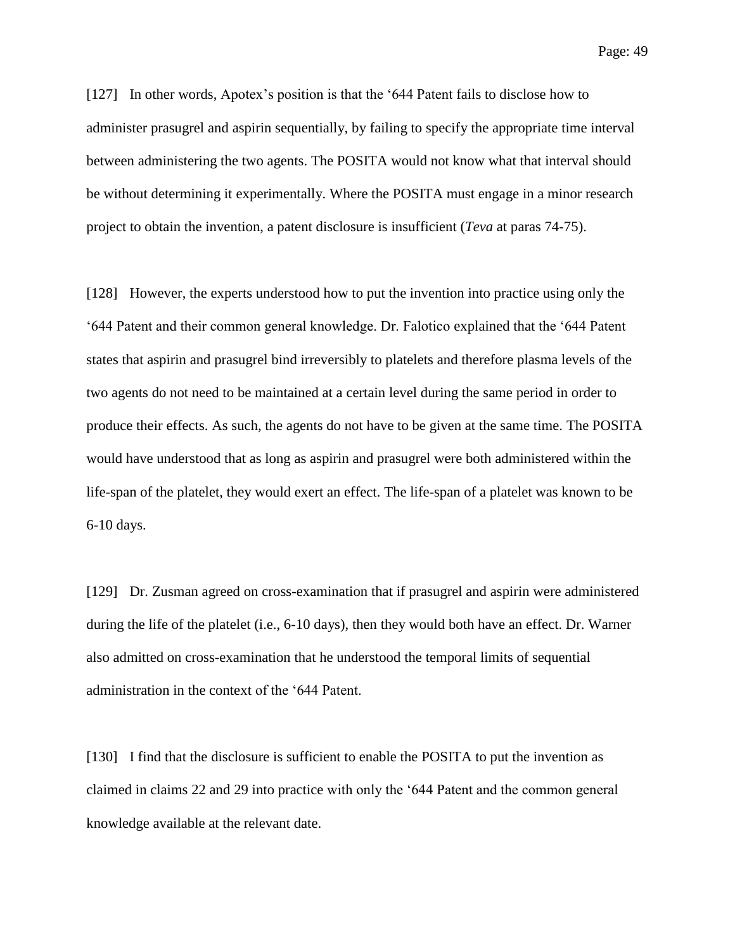Page: 49

[127] In other words, Apotex's position is that the '644 Patent fails to disclose how to administer prasugrel and aspirin sequentially, by failing to specify the appropriate time interval between administering the two agents. The POSITA would not know what that interval should be without determining it experimentally. Where the POSITA must engage in a minor research project to obtain the invention, a patent disclosure is insufficient (*Teva* at paras 74-75).

[128] However, the experts understood how to put the invention into practice using only the '644 Patent and their common general knowledge. Dr. Falotico explained that the '644 Patent states that aspirin and prasugrel bind irreversibly to platelets and therefore plasma levels of the two agents do not need to be maintained at a certain level during the same period in order to produce their effects. As such, the agents do not have to be given at the same time. The POSITA would have understood that as long as aspirin and prasugrel were both administered within the life-span of the platelet, they would exert an effect. The life-span of a platelet was known to be 6-10 days.

[129] Dr. Zusman agreed on cross-examination that if prasugrel and aspirin were administered during the life of the platelet (i.e., 6-10 days), then they would both have an effect. Dr. Warner also admitted on cross-examination that he understood the temporal limits of sequential administration in the context of the '644 Patent.

[130] I find that the disclosure is sufficient to enable the POSITA to put the invention as claimed in claims 22 and 29 into practice with only the '644 Patent and the common general knowledge available at the relevant date.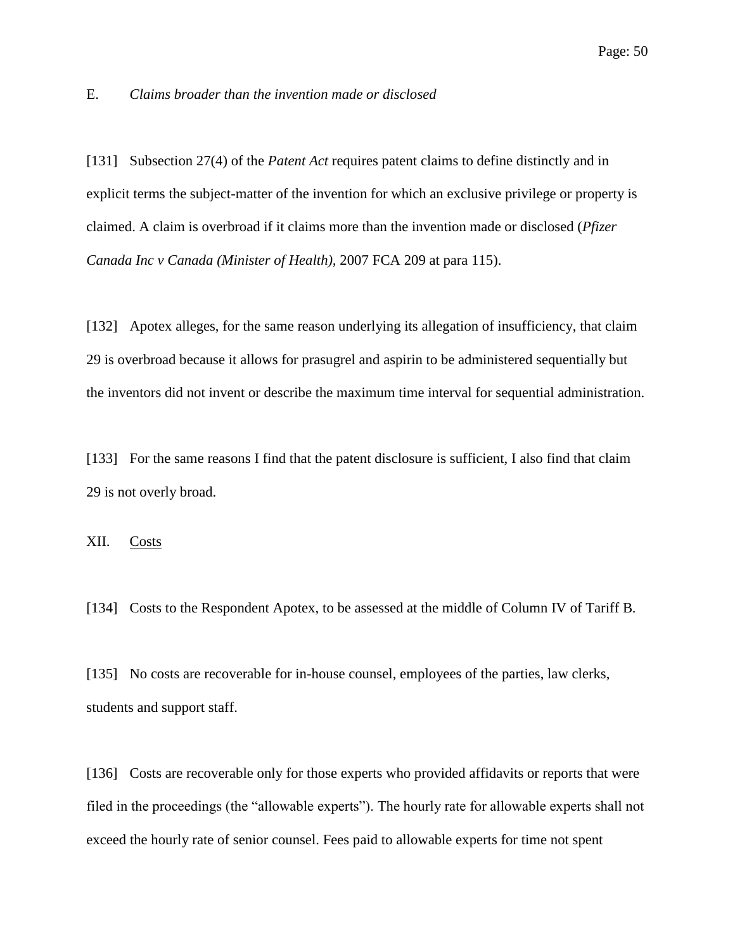#### <span id="page-49-0"></span>E. *Claims broader than the invention made or disclosed*

[131] Subsection 27(4) of the *Patent Act* requires patent claims to define distinctly and in explicit terms the subject-matter of the invention for which an exclusive privilege or property is claimed. A claim is overbroad if it claims more than the invention made or disclosed (*Pfizer Canada Inc v Canada (Minister of Health),* 2007 FCA 209 at para 115).

[132] Apotex alleges, for the same reason underlying its allegation of insufficiency, that claim 29 is overbroad because it allows for prasugrel and aspirin to be administered sequentially but the inventors did not invent or describe the maximum time interval for sequential administration.

[133] For the same reasons I find that the patent disclosure is sufficient, I also find that claim 29 is not overly broad.

<span id="page-49-1"></span>XII. Costs

[134] Costs to the Respondent Apotex, to be assessed at the middle of Column IV of Tariff B.

[135] No costs are recoverable for in-house counsel, employees of the parties, law clerks, students and support staff.

[136] Costs are recoverable only for those experts who provided affidavits or reports that were filed in the proceedings (the "allowable experts"). The hourly rate for allowable experts shall not exceed the hourly rate of senior counsel. Fees paid to allowable experts for time not spent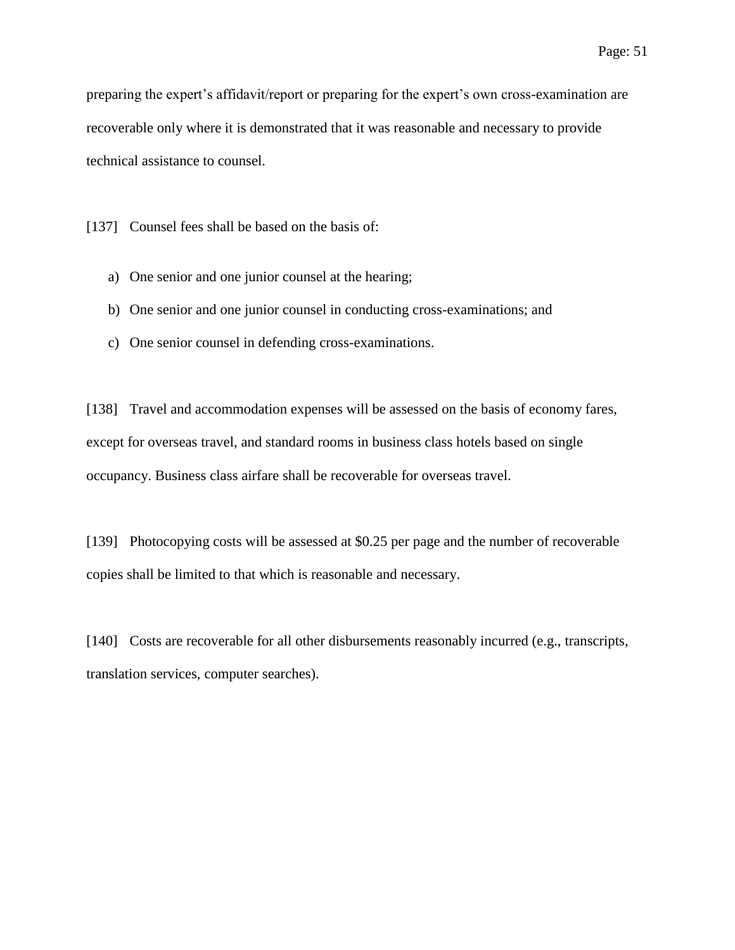preparing the expert's affidavit/report or preparing for the expert's own cross-examination are recoverable only where it is demonstrated that it was reasonable and necessary to provide technical assistance to counsel.

[137] Counsel fees shall be based on the basis of:

- a) One senior and one junior counsel at the hearing;
- b) One senior and one junior counsel in conducting cross-examinations; and
- c) One senior counsel in defending cross-examinations.

[138] Travel and accommodation expenses will be assessed on the basis of economy fares, except for overseas travel, and standard rooms in business class hotels based on single occupancy. Business class airfare shall be recoverable for overseas travel.

[139] Photocopying costs will be assessed at \$0.25 per page and the number of recoverable copies shall be limited to that which is reasonable and necessary.

[140] Costs are recoverable for all other disbursements reasonably incurred (e.g., transcripts, translation services, computer searches).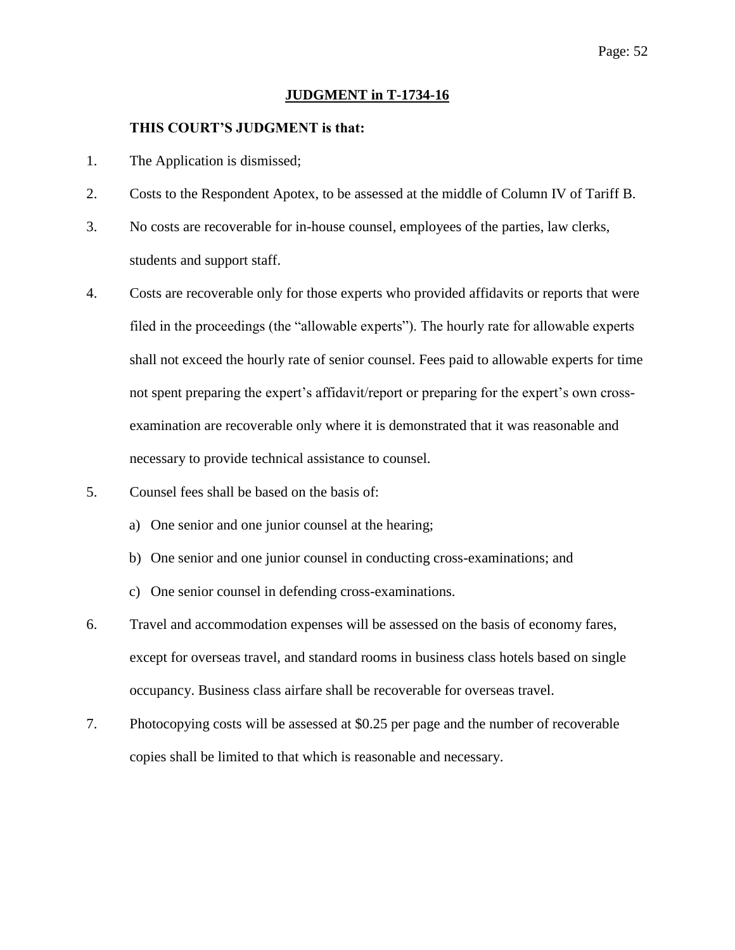#### **JUDGMENT in T-1734-16**

### **THIS COURT'S JUDGMENT is that:**

- 1. The Application is dismissed;
- 2. Costs to the Respondent Apotex, to be assessed at the middle of Column IV of Tariff B.
- 3. No costs are recoverable for in-house counsel, employees of the parties, law clerks, students and support staff.
- 4. Costs are recoverable only for those experts who provided affidavits or reports that were filed in the proceedings (the "allowable experts"). The hourly rate for allowable experts shall not exceed the hourly rate of senior counsel. Fees paid to allowable experts for time not spent preparing the expert's affidavit/report or preparing for the expert's own crossexamination are recoverable only where it is demonstrated that it was reasonable and necessary to provide technical assistance to counsel.
- 5. Counsel fees shall be based on the basis of:
	- a) One senior and one junior counsel at the hearing;
	- b) One senior and one junior counsel in conducting cross-examinations; and
	- c) One senior counsel in defending cross-examinations.
- 6. Travel and accommodation expenses will be assessed on the basis of economy fares, except for overseas travel, and standard rooms in business class hotels based on single occupancy. Business class airfare shall be recoverable for overseas travel.
- 7. Photocopying costs will be assessed at \$0.25 per page and the number of recoverable copies shall be limited to that which is reasonable and necessary.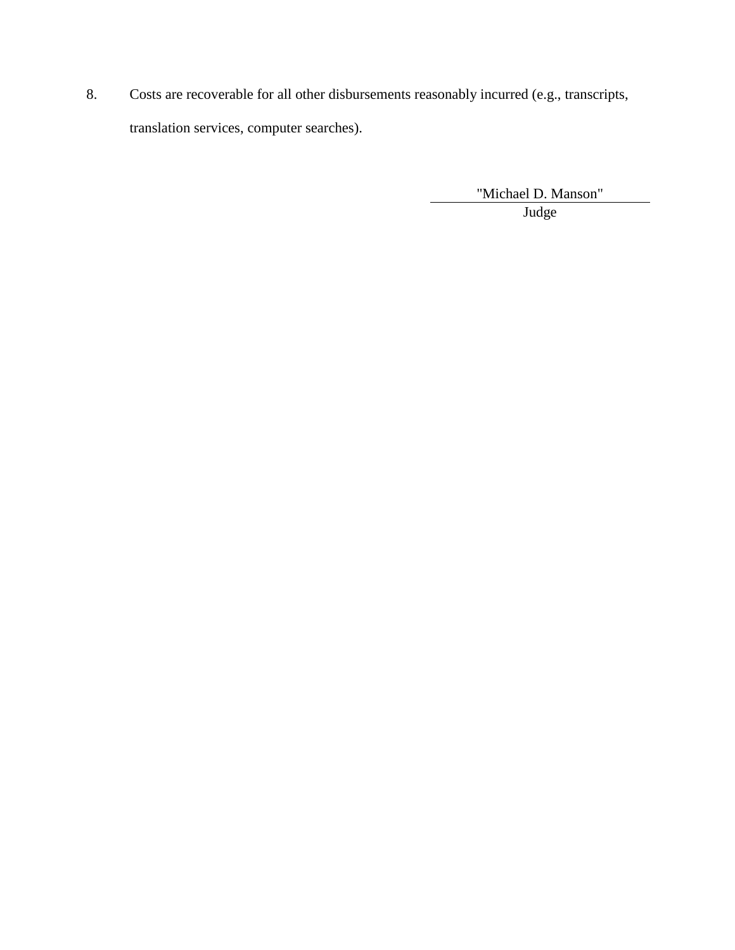8. Costs are recoverable for all other disbursements reasonably incurred (e.g., transcripts, translation services, computer searches).

"Michael D. Manson"

Judge